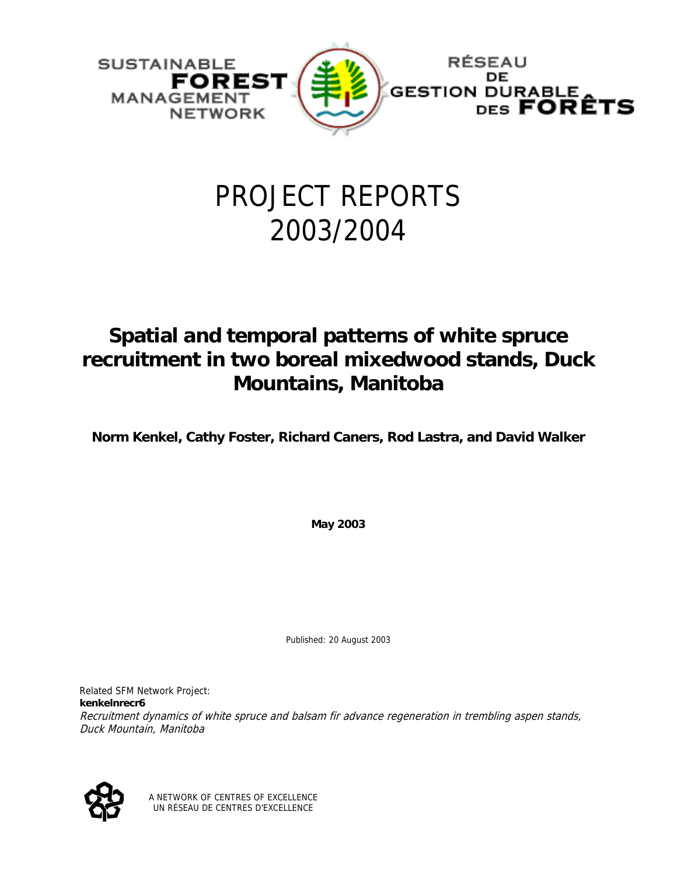

## PROJECT REPORTS 2003/2004

### **Spatial and temporal patterns of white spruce recruitment in two boreal mixedwood stands, Duck Mountains, Manitoba**

**Norm Kenkel, Cathy Foster, Richard Caners, Rod Lastra, and David Walker** 

**May 2003** 

Published: 20 August 2003

Related SFM Network Project: **kenkelnrecr6** Recruitment dynamics of white spruce and balsam fir advance regeneration in trembling aspen stands, Duck Mountain, Manitoba



A NETWORK OF CENTRES OF EXCELLENCE UN RÉSEAU DE CENTRES D'EXCELLENCE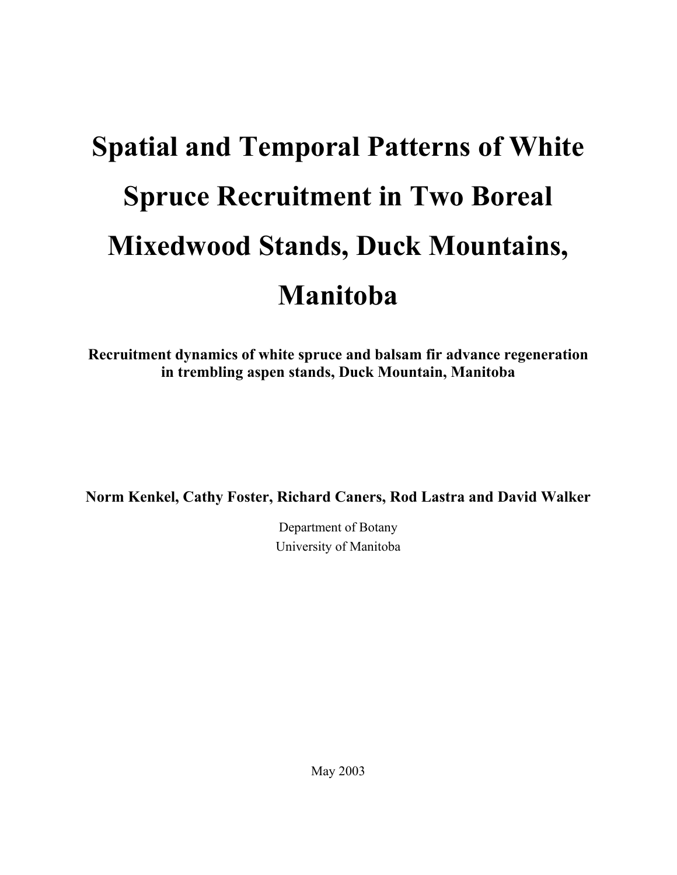# **Spatial and Temporal Patterns of White Spruce Recruitment in Two Boreal Mixedwood Stands, Duck Mountains, Manitoba**

**Recruitment dynamics of white spruce and balsam fir advance regeneration in trembling aspen stands, Duck Mountain, Manitoba** 

**Norm Kenkel, Cathy Foster, Richard Caners, Rod Lastra and David Walker** 

Department of Botany University of Manitoba

May 2003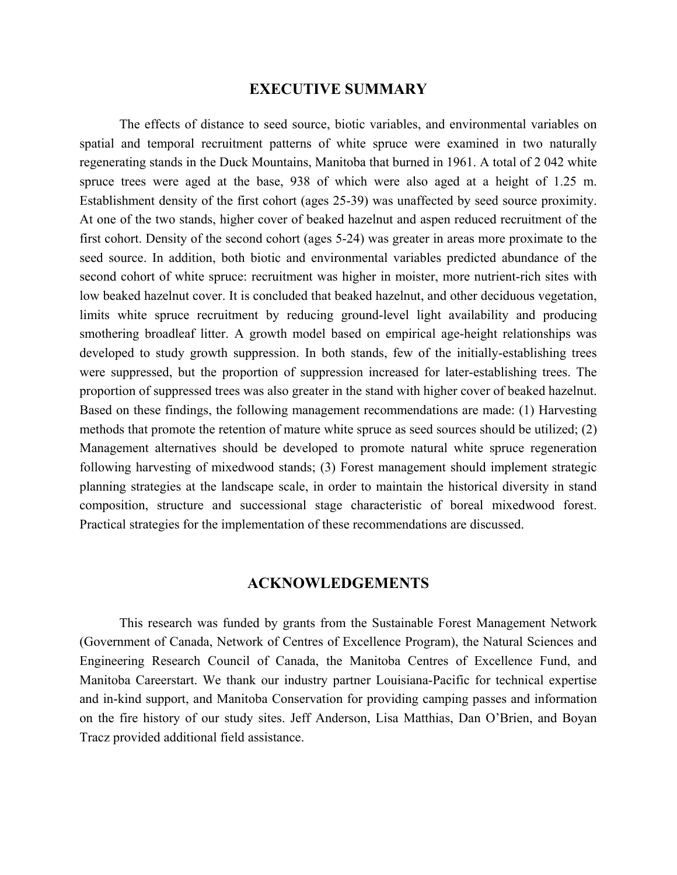#### **EXECUTIVE SUMMARY**

The effects of distance to seed source, biotic variables, and environmental variables on spatial and temporal recruitment patterns of white spruce were examined in two naturally regenerating stands in the Duck Mountains, Manitoba that burned in 1961. A total of 2 042 white spruce trees were aged at the base, 938 of which were also aged at a height of 1.25 m. Establishment density of the first cohort (ages 25-39) was unaffected by seed source proximity. At one of the two stands, higher cover of beaked hazelnut and aspen reduced recruitment of the first cohort. Density of the second cohort (ages 5-24) was greater in areas more proximate to the seed source. In addition, both biotic and environmental variables predicted abundance of the second cohort of white spruce: recruitment was higher in moister, more nutrient-rich sites with low beaked hazelnut cover. It is concluded that beaked hazelnut, and other deciduous vegetation, limits white spruce recruitment by reducing ground-level light availability and producing smothering broadleaf litter. A growth model based on empirical age-height relationships was developed to study growth suppression. In both stands, few of the initially-establishing trees were suppressed, but the proportion of suppression increased for later-establishing trees. The proportion of suppressed trees was also greater in the stand with higher cover of beaked hazelnut. Based on these findings, the following management recommendations are made: (1) Harvesting methods that promote the retention of mature white spruce as seed sources should be utilized; (2) Management alternatives should be developed to promote natural white spruce regeneration following harvesting of mixedwood stands; (3) Forest management should implement strategic planning strategies at the landscape scale, in order to maintain the historical diversity in stand composition, structure and successional stage characteristic of boreal mixedwood forest. Practical strategies for the implementation of these recommendations are discussed.

#### **ACKNOWLEDGEMENTS**

This research was funded by grants from the Sustainable Forest Management Network (Government of Canada, Network of Centres of Excellence Program), the Natural Sciences and Engineering Research Council of Canada, the Manitoba Centres of Excellence Fund, and Manitoba Careerstart. We thank our industry partner Louisiana-Pacific for technical expertise and in-kind support, and Manitoba Conservation for providing camping passes and information on the fire history of our study sites. Jeff Anderson, Lisa Matthias, Dan O'Brien, and Boyan Tracz provided additional field assistance.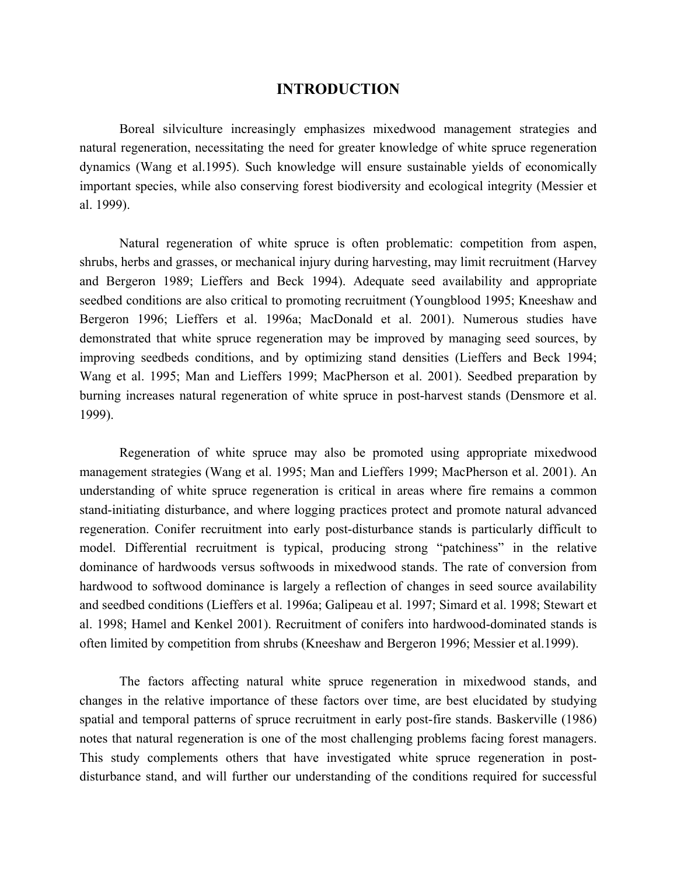#### **INTRODUCTION**

Boreal silviculture increasingly emphasizes mixedwood management strategies and natural regeneration, necessitating the need for greater knowledge of white spruce regeneration dynamics (Wang et al.1995). Such knowledge will ensure sustainable yields of economically important species, while also conserving forest biodiversity and ecological integrity (Messier et al. 1999).

Natural regeneration of white spruce is often problematic: competition from aspen, shrubs, herbs and grasses, or mechanical injury during harvesting, may limit recruitment (Harvey and Bergeron 1989; Lieffers and Beck 1994). Adequate seed availability and appropriate seedbed conditions are also critical to promoting recruitment (Youngblood 1995; Kneeshaw and Bergeron 1996; Lieffers et al. 1996a; MacDonald et al. 2001). Numerous studies have demonstrated that white spruce regeneration may be improved by managing seed sources, by improving seedbeds conditions, and by optimizing stand densities (Lieffers and Beck 1994; Wang et al. 1995; Man and Lieffers 1999; MacPherson et al. 2001). Seedbed preparation by burning increases natural regeneration of white spruce in post-harvest stands (Densmore et al. 1999).

Regeneration of white spruce may also be promoted using appropriate mixedwood management strategies (Wang et al. 1995; Man and Lieffers 1999; MacPherson et al. 2001). An understanding of white spruce regeneration is critical in areas where fire remains a common stand-initiating disturbance, and where logging practices protect and promote natural advanced regeneration. Conifer recruitment into early post-disturbance stands is particularly difficult to model. Differential recruitment is typical, producing strong "patchiness" in the relative dominance of hardwoods versus softwoods in mixedwood stands. The rate of conversion from hardwood to softwood dominance is largely a reflection of changes in seed source availability and seedbed conditions (Lieffers et al. 1996a; Galipeau et al. 1997; Simard et al. 1998; Stewart et al. 1998; Hamel and Kenkel 2001). Recruitment of conifers into hardwood-dominated stands is often limited by competition from shrubs (Kneeshaw and Bergeron 1996; Messier et al.1999).

The factors affecting natural white spruce regeneration in mixedwood stands, and changes in the relative importance of these factors over time, are best elucidated by studying spatial and temporal patterns of spruce recruitment in early post-fire stands. Baskerville (1986) notes that natural regeneration is one of the most challenging problems facing forest managers. This study complements others that have investigated white spruce regeneration in postdisturbance stand, and will further our understanding of the conditions required for successful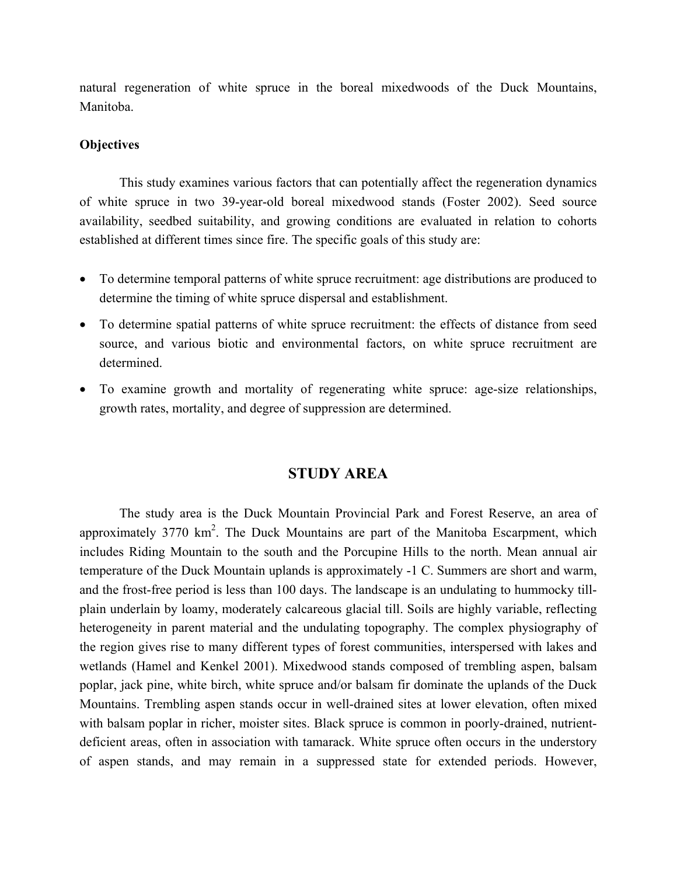natural regeneration of white spruce in the boreal mixedwoods of the Duck Mountains, Manitoba.

#### **Objectives**

This study examines various factors that can potentially affect the regeneration dynamics of white spruce in two 39-year-old boreal mixedwood stands (Foster 2002). Seed source availability, seedbed suitability, and growing conditions are evaluated in relation to cohorts established at different times since fire. The specific goals of this study are:

- To determine temporal patterns of white spruce recruitment: age distributions are produced to determine the timing of white spruce dispersal and establishment.
- To determine spatial patterns of white spruce recruitment: the effects of distance from seed source, and various biotic and environmental factors, on white spruce recruitment are determined.
- To examine growth and mortality of regenerating white spruce: age-size relationships, growth rates, mortality, and degree of suppression are determined.

#### **STUDY AREA**

The study area is the Duck Mountain Provincial Park and Forest Reserve, an area of approximately  $3770 \text{ km}^2$ . The Duck Mountains are part of the Manitoba Escarpment, which includes Riding Mountain to the south and the Porcupine Hills to the north. Mean annual air temperature of the Duck Mountain uplands is approximately -1 C. Summers are short and warm, and the frost-free period is less than 100 days. The landscape is an undulating to hummocky tillplain underlain by loamy, moderately calcareous glacial till. Soils are highly variable, reflecting heterogeneity in parent material and the undulating topography. The complex physiography of the region gives rise to many different types of forest communities, interspersed with lakes and wetlands (Hamel and Kenkel 2001). Mixedwood stands composed of trembling aspen, balsam poplar, jack pine, white birch, white spruce and/or balsam fir dominate the uplands of the Duck Mountains. Trembling aspen stands occur in well-drained sites at lower elevation, often mixed with balsam poplar in richer, moister sites. Black spruce is common in poorly-drained, nutrientdeficient areas, often in association with tamarack. White spruce often occurs in the understory of aspen stands, and may remain in a suppressed state for extended periods. However,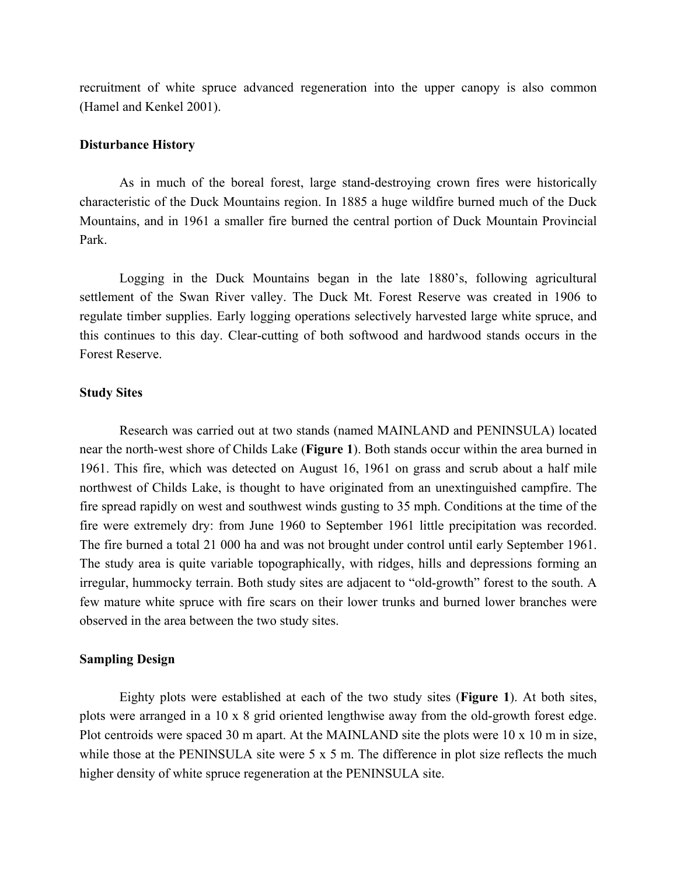recruitment of white spruce advanced regeneration into the upper canopy is also common (Hamel and Kenkel 2001).

#### **Disturbance History**

As in much of the boreal forest, large stand-destroying crown fires were historically characteristic of the Duck Mountains region. In 1885 a huge wildfire burned much of the Duck Mountains, and in 1961 a smaller fire burned the central portion of Duck Mountain Provincial Park.

Logging in the Duck Mountains began in the late 1880's, following agricultural settlement of the Swan River valley. The Duck Mt. Forest Reserve was created in 1906 to regulate timber supplies. Early logging operations selectively harvested large white spruce, and this continues to this day. Clear-cutting of both softwood and hardwood stands occurs in the Forest Reserve.

#### **Study Sites**

Research was carried out at two stands (named MAINLAND and PENINSULA) located near the north-west shore of Childs Lake (**Figure 1**). Both stands occur within the area burned in 1961. This fire, which was detected on August 16, 1961 on grass and scrub about a half mile northwest of Childs Lake, is thought to have originated from an unextinguished campfire. The fire spread rapidly on west and southwest winds gusting to 35 mph. Conditions at the time of the fire were extremely dry: from June 1960 to September 1961 little precipitation was recorded. The fire burned a total 21 000 ha and was not brought under control until early September 1961. The study area is quite variable topographically, with ridges, hills and depressions forming an irregular, hummocky terrain. Both study sites are adjacent to "old-growth" forest to the south. A few mature white spruce with fire scars on their lower trunks and burned lower branches were observed in the area between the two study sites.

#### **Sampling Design**

Eighty plots were established at each of the two study sites (**Figure 1**). At both sites, plots were arranged in a 10 x 8 grid oriented lengthwise away from the old-growth forest edge. Plot centroids were spaced 30 m apart. At the MAINLAND site the plots were 10 x 10 m in size, while those at the PENINSULA site were 5 x 5 m. The difference in plot size reflects the much higher density of white spruce regeneration at the PENINSULA site.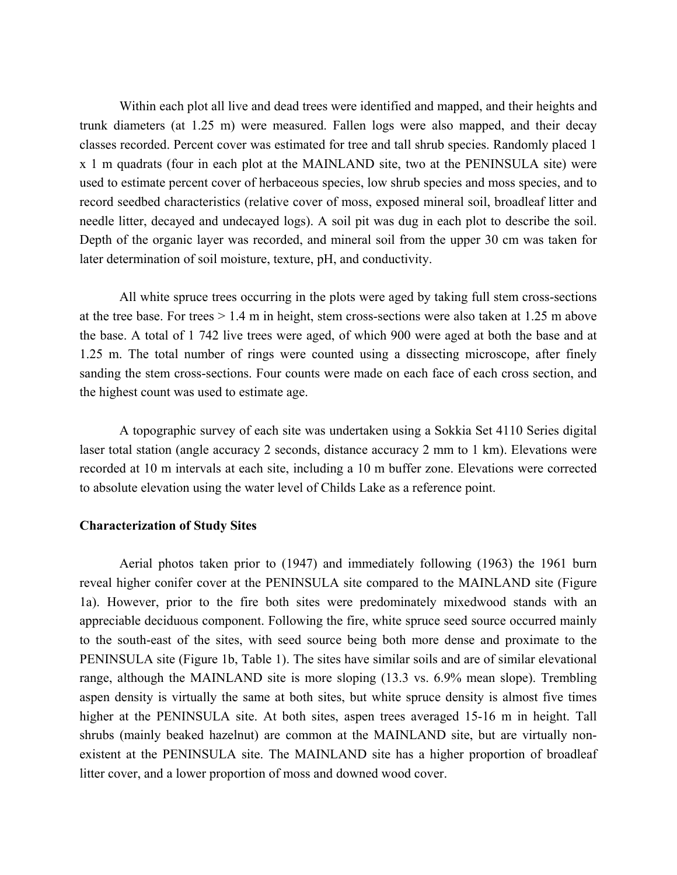Within each plot all live and dead trees were identified and mapped, and their heights and trunk diameters (at 1.25 m) were measured. Fallen logs were also mapped, and their decay classes recorded. Percent cover was estimated for tree and tall shrub species. Randomly placed 1 x 1 m quadrats (four in each plot at the MAINLAND site, two at the PENINSULA site) were used to estimate percent cover of herbaceous species, low shrub species and moss species, and to record seedbed characteristics (relative cover of moss, exposed mineral soil, broadleaf litter and needle litter, decayed and undecayed logs). A soil pit was dug in each plot to describe the soil. Depth of the organic layer was recorded, and mineral soil from the upper 30 cm was taken for later determination of soil moisture, texture, pH, and conductivity.

All white spruce trees occurring in the plots were aged by taking full stem cross-sections at the tree base. For trees > 1.4 m in height, stem cross-sections were also taken at 1.25 m above the base. A total of 1 742 live trees were aged, of which 900 were aged at both the base and at 1.25 m. The total number of rings were counted using a dissecting microscope, after finely sanding the stem cross-sections. Four counts were made on each face of each cross section, and the highest count was used to estimate age.

A topographic survey of each site was undertaken using a Sokkia Set 4110 Series digital laser total station (angle accuracy 2 seconds, distance accuracy 2 mm to 1 km). Elevations were recorded at 10 m intervals at each site, including a 10 m buffer zone. Elevations were corrected to absolute elevation using the water level of Childs Lake as a reference point.

#### **Characterization of Study Sites**

Aerial photos taken prior to (1947) and immediately following (1963) the 1961 burn reveal higher conifer cover at the PENINSULA site compared to the MAINLAND site (Figure 1a). However, prior to the fire both sites were predominately mixedwood stands with an appreciable deciduous component. Following the fire, white spruce seed source occurred mainly to the south-east of the sites, with seed source being both more dense and proximate to the PENINSULA site (Figure 1b, Table 1). The sites have similar soils and are of similar elevational range, although the MAINLAND site is more sloping (13.3 vs. 6.9% mean slope). Trembling aspen density is virtually the same at both sites, but white spruce density is almost five times higher at the PENINSULA site. At both sites, aspen trees averaged 15-16 m in height. Tall shrubs (mainly beaked hazelnut) are common at the MAINLAND site, but are virtually nonexistent at the PENINSULA site. The MAINLAND site has a higher proportion of broadleaf litter cover, and a lower proportion of moss and downed wood cover.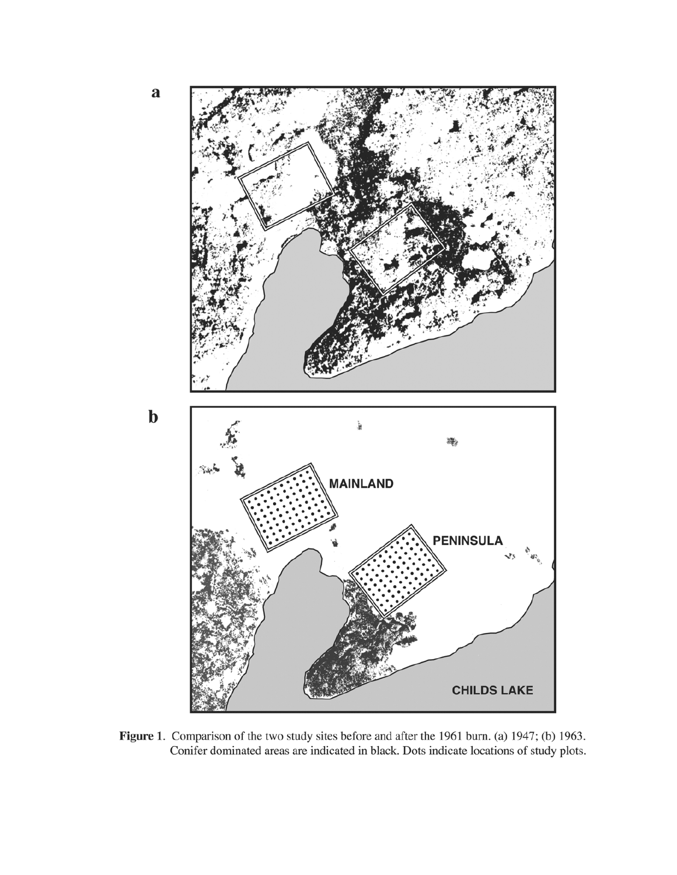

Figure 1. Comparison of the two study sites before and after the 1961 burn. (a) 1947; (b) 1963. Conifer dominated areas are indicated in black. Dots indicate locations of study plots.

 $\mathbf a$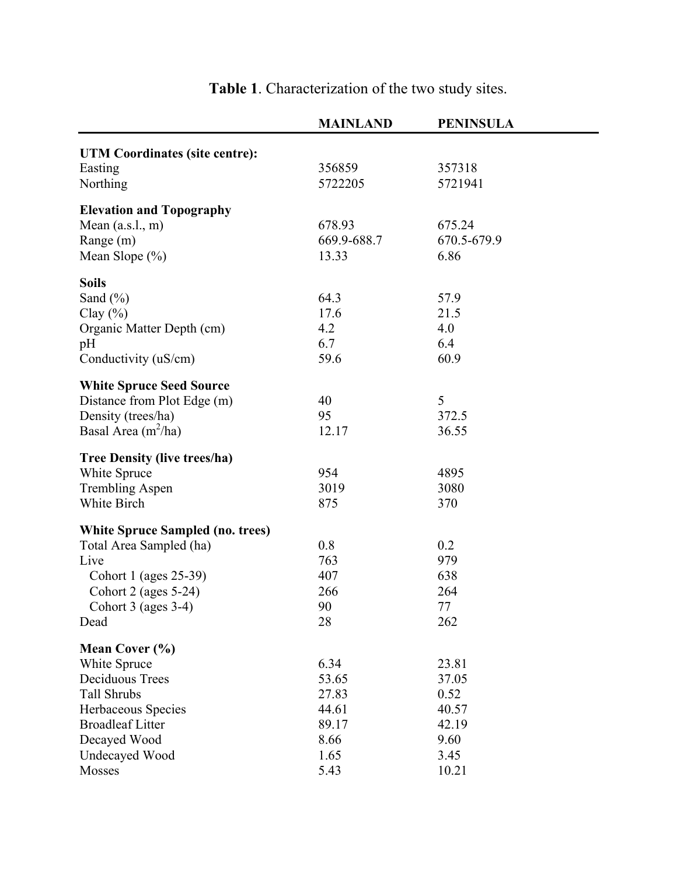|                                         | <b>MAINLAND</b> | <b>PENINSULA</b> |  |
|-----------------------------------------|-----------------|------------------|--|
| <b>UTM Coordinates (site centre):</b>   |                 |                  |  |
| Easting                                 | 356859          | 357318           |  |
| Northing                                | 5722205         | 5721941          |  |
|                                         |                 |                  |  |
| <b>Elevation and Topography</b>         |                 |                  |  |
| Mean $(a.s.l., m)$                      | 678.93          | 675.24           |  |
| Range (m)                               | 669.9-688.7     | 670.5-679.9      |  |
| Mean Slope $(\% )$                      | 13.33           | 6.86             |  |
| <b>Soils</b>                            |                 |                  |  |
| Sand $(\% )$                            | 64.3            | 57.9             |  |
| Clay $(\% )$                            | 17.6            | 21.5             |  |
| Organic Matter Depth (cm)               | 4.2             | 4.0              |  |
| pH                                      | 6.7             | 6.4              |  |
| Conductivity (uS/cm)                    | 59.6            | 60.9             |  |
|                                         |                 |                  |  |
| <b>White Spruce Seed Source</b>         |                 |                  |  |
| Distance from Plot Edge (m)             | 40              | 5                |  |
| Density (trees/ha)                      | 95              | 372.5            |  |
| Basal Area $(m^2/ha)$                   | 12.17           | 36.55            |  |
| <b>Tree Density (live trees/ha)</b>     |                 |                  |  |
| White Spruce                            | 954             | 4895             |  |
| <b>Trembling Aspen</b>                  | 3019            | 3080             |  |
| White Birch                             | 875             | 370              |  |
| <b>White Spruce Sampled (no. trees)</b> |                 |                  |  |
| Total Area Sampled (ha)                 | 0.8             | 0.2              |  |
| Live                                    | 763             | 979              |  |
| Cohort 1 (ages 25-39)                   | 407             | 638              |  |
| Cohort 2 (ages $5-24$ )                 | 266             | 264              |  |
| Cohort 3 (ages 3-4)                     | 90              | 77               |  |
| Dead                                    | 28              | 262              |  |
|                                         |                 |                  |  |
| Mean Cover (%)                          |                 |                  |  |
| White Spruce                            | 6.34            | 23.81            |  |
| Deciduous Trees                         | 53.65           | 37.05            |  |
| Tall Shrubs                             | 27.83           | 0.52             |  |
| Herbaceous Species                      | 44.61           | 40.57            |  |
| <b>Broadleaf Litter</b>                 | 89.17           | 42.19            |  |
| Decayed Wood                            | 8.66            | 9.60             |  |
| Undecayed Wood                          | 1.65            | 3.45             |  |
| Mosses                                  | 5.43            | 10.21            |  |

**Table 1**. Characterization of the two study sites.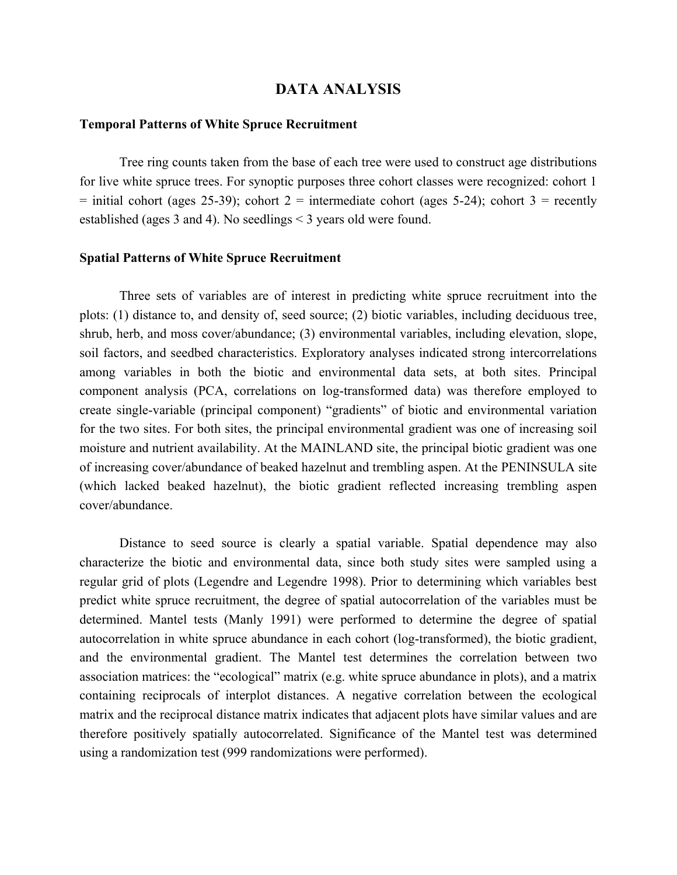#### **DATA ANALYSIS**

#### **Temporal Patterns of White Spruce Recruitment**

Tree ring counts taken from the base of each tree were used to construct age distributions for live white spruce trees. For synoptic purposes three cohort classes were recognized: cohort 1  $=$  initial cohort (ages 25-39); cohort 2 = intermediate cohort (ages 5-24); cohort 3 = recently established (ages 3 and 4). No seedlings < 3 years old were found.

#### **Spatial Patterns of White Spruce Recruitment**

Three sets of variables are of interest in predicting white spruce recruitment into the plots: (1) distance to, and density of, seed source; (2) biotic variables, including deciduous tree, shrub, herb, and moss cover/abundance; (3) environmental variables, including elevation, slope, soil factors, and seedbed characteristics. Exploratory analyses indicated strong intercorrelations among variables in both the biotic and environmental data sets, at both sites. Principal component analysis (PCA, correlations on log-transformed data) was therefore employed to create single-variable (principal component) "gradients" of biotic and environmental variation for the two sites. For both sites, the principal environmental gradient was one of increasing soil moisture and nutrient availability. At the MAINLAND site, the principal biotic gradient was one of increasing cover/abundance of beaked hazelnut and trembling aspen. At the PENINSULA site (which lacked beaked hazelnut), the biotic gradient reflected increasing trembling aspen cover/abundance.

Distance to seed source is clearly a spatial variable. Spatial dependence may also characterize the biotic and environmental data, since both study sites were sampled using a regular grid of plots (Legendre and Legendre 1998). Prior to determining which variables best predict white spruce recruitment, the degree of spatial autocorrelation of the variables must be determined. Mantel tests (Manly 1991) were performed to determine the degree of spatial autocorrelation in white spruce abundance in each cohort (log-transformed), the biotic gradient, and the environmental gradient. The Mantel test determines the correlation between two association matrices: the "ecological" matrix (e.g. white spruce abundance in plots), and a matrix containing reciprocals of interplot distances. A negative correlation between the ecological matrix and the reciprocal distance matrix indicates that adjacent plots have similar values and are therefore positively spatially autocorrelated. Significance of the Mantel test was determined using a randomization test (999 randomizations were performed).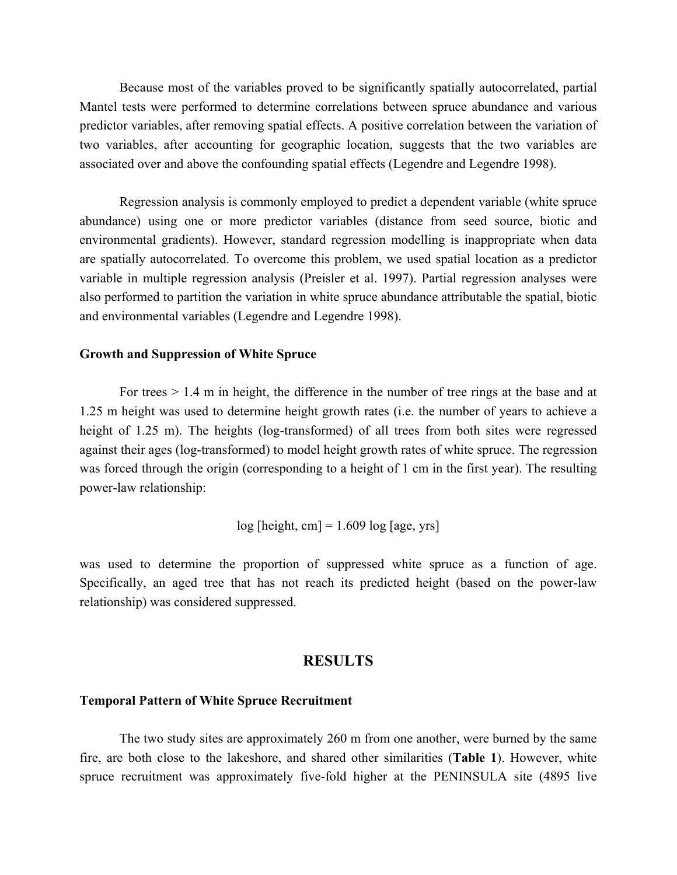Because most of the variables proved to be significantly spatially autocorrelated, partial Mantel tests were performed to determine correlations between spruce abundance and various predictor variables, after removing spatial effects. A positive correlation between the variation of two variables, after accounting for geographic location, suggests that the two variables are associated over and above the confounding spatial effects (Legendre and Legendre 1998).

Regression analysis is commonly employed to predict a dependent variable (white spruce abundance) using one or more predictor variables (distance from seed source, biotic and environmental gradients). However, standard regression modelling is inappropriate when data are spatially autocorrelated. To overcome this problem, we used spatial location as a predictor variable in multiple regression analysis (Preisler et al. 1997). Partial regression analyses were also performed to partition the variation in white spruce abundance attributable the spatial, biotic and environmental variables (Legendre and Legendre 1998).

#### **Growth and Suppression of White Spruce**

For trees > 1.4 m in height, the difference in the number of tree rings at the base and at 1.25 m height was used to determine height growth rates (i.e. the number of years to achieve a height of 1.25 m). The heights (log-transformed) of all trees from both sites were regressed against their ages (log-transformed) to model height growth rates of white spruce. The regression was forced through the origin (corresponding to a height of 1 cm in the first year). The resulting power-law relationship:

$$
log [height, cm] = 1.609 log [age, yrs]
$$

was used to determine the proportion of suppressed white spruce as a function of age. Specifically, an aged tree that has not reach its predicted height (based on the power-law relationship) was considered suppressed.

#### **RESULTS**

#### **Temporal Pattern of White Spruce Recruitment**

The two study sites are approximately 260 m from one another, were burned by the same fire, are both close to the lakeshore, and shared other similarities (**Table 1**). However, white spruce recruitment was approximately five-fold higher at the PENINSULA site (4895 live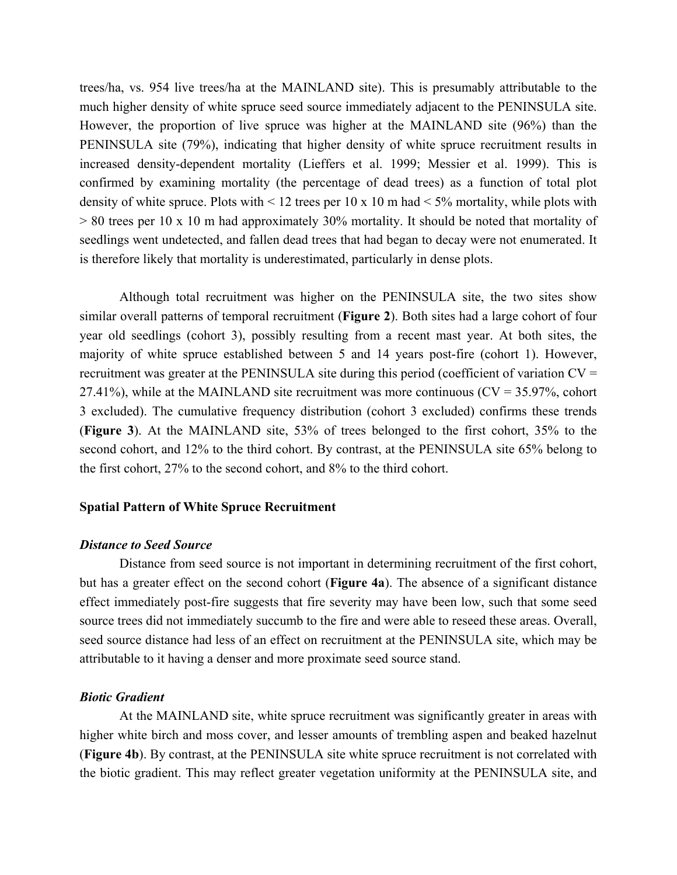trees/ha, vs. 954 live trees/ha at the MAINLAND site). This is presumably attributable to the much higher density of white spruce seed source immediately adjacent to the PENINSULA site. However, the proportion of live spruce was higher at the MAINLAND site (96%) than the PENINSULA site (79%), indicating that higher density of white spruce recruitment results in increased density-dependent mortality (Lieffers et al. 1999; Messier et al. 1999). This is confirmed by examining mortality (the percentage of dead trees) as a function of total plot density of white spruce. Plots with  $\leq 12$  trees per 10 x 10 m had  $\leq 5\%$  mortality, while plots with  $> 80$  trees per 10 x 10 m had approximately 30% mortality. It should be noted that mortality of seedlings went undetected, and fallen dead trees that had began to decay were not enumerated. It is therefore likely that mortality is underestimated, particularly in dense plots.

Although total recruitment was higher on the PENINSULA site, the two sites show similar overall patterns of temporal recruitment (**Figure 2**). Both sites had a large cohort of four year old seedlings (cohort 3), possibly resulting from a recent mast year. At both sites, the majority of white spruce established between 5 and 14 years post-fire (cohort 1). However, recruitment was greater at the PENINSULA site during this period (coefficient of variation CV = 27.41%), while at the MAINLAND site recruitment was more continuous ( $CV = 35.97\%$ , cohort 3 excluded). The cumulative frequency distribution (cohort 3 excluded) confirms these trends (**Figure 3**). At the MAINLAND site, 53% of trees belonged to the first cohort, 35% to the second cohort, and 12% to the third cohort. By contrast, at the PENINSULA site 65% belong to the first cohort, 27% to the second cohort, and 8% to the third cohort.

#### **Spatial Pattern of White Spruce Recruitment**

#### *Distance to Seed Source*

Distance from seed source is not important in determining recruitment of the first cohort, but has a greater effect on the second cohort (**Figure 4a**). The absence of a significant distance effect immediately post-fire suggests that fire severity may have been low, such that some seed source trees did not immediately succumb to the fire and were able to reseed these areas. Overall, seed source distance had less of an effect on recruitment at the PENINSULA site, which may be attributable to it having a denser and more proximate seed source stand.

#### *Biotic Gradient*

At the MAINLAND site, white spruce recruitment was significantly greater in areas with higher white birch and moss cover, and lesser amounts of trembling aspen and beaked hazelnut (**Figure 4b**). By contrast, at the PENINSULA site white spruce recruitment is not correlated with the biotic gradient. This may reflect greater vegetation uniformity at the PENINSULA site, and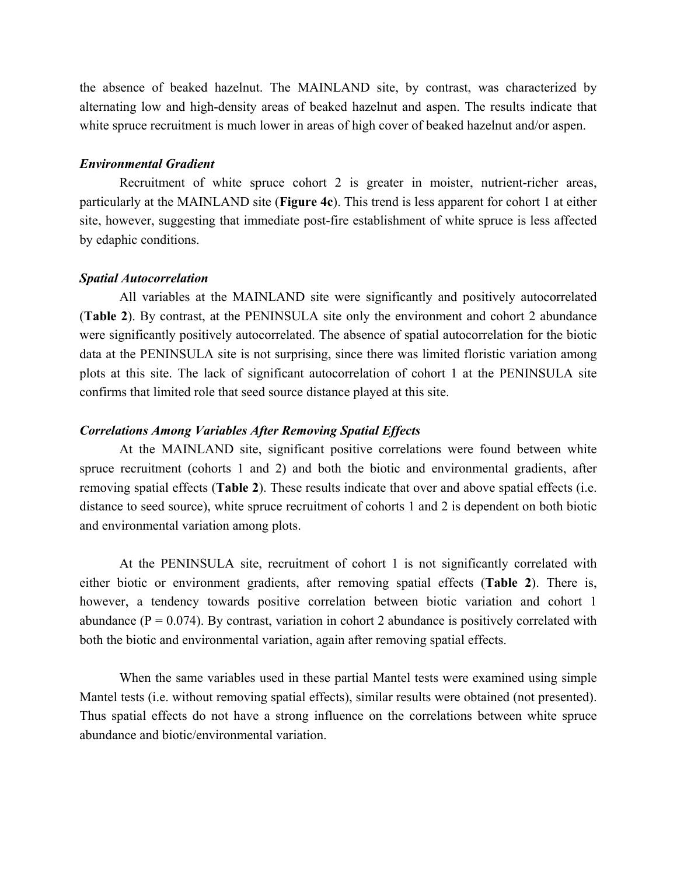the absence of beaked hazelnut. The MAINLAND site, by contrast, was characterized by alternating low and high-density areas of beaked hazelnut and aspen. The results indicate that white spruce recruitment is much lower in areas of high cover of beaked hazelnut and/or aspen.

#### *Environmental Gradient*

Recruitment of white spruce cohort 2 is greater in moister, nutrient-richer areas, particularly at the MAINLAND site (**Figure 4c**). This trend is less apparent for cohort 1 at either site, however, suggesting that immediate post-fire establishment of white spruce is less affected by edaphic conditions.

#### *Spatial Autocorrelation*

All variables at the MAINLAND site were significantly and positively autocorrelated (**Table 2**). By contrast, at the PENINSULA site only the environment and cohort 2 abundance were significantly positively autocorrelated. The absence of spatial autocorrelation for the biotic data at the PENINSULA site is not surprising, since there was limited floristic variation among plots at this site. The lack of significant autocorrelation of cohort 1 at the PENINSULA site confirms that limited role that seed source distance played at this site.

#### *Correlations Among Variables After Removing Spatial Effects*

At the MAINLAND site, significant positive correlations were found between white spruce recruitment (cohorts 1 and 2) and both the biotic and environmental gradients, after removing spatial effects (**Table 2**). These results indicate that over and above spatial effects (i.e. distance to seed source), white spruce recruitment of cohorts 1 and 2 is dependent on both biotic and environmental variation among plots.

At the PENINSULA site, recruitment of cohort 1 is not significantly correlated with either biotic or environment gradients, after removing spatial effects (**Table 2**). There is, however, a tendency towards positive correlation between biotic variation and cohort 1 abundance ( $P = 0.074$ ). By contrast, variation in cohort 2 abundance is positively correlated with both the biotic and environmental variation, again after removing spatial effects.

When the same variables used in these partial Mantel tests were examined using simple Mantel tests (i.e. without removing spatial effects), similar results were obtained (not presented). Thus spatial effects do not have a strong influence on the correlations between white spruce abundance and biotic/environmental variation.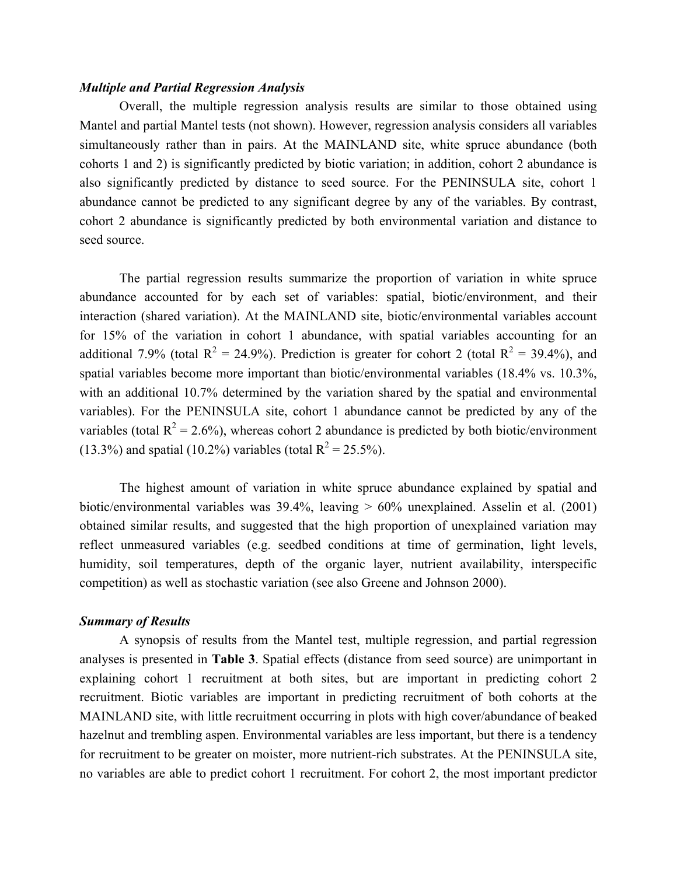#### *Multiple and Partial Regression Analysis*

Overall, the multiple regression analysis results are similar to those obtained using Mantel and partial Mantel tests (not shown). However, regression analysis considers all variables simultaneously rather than in pairs. At the MAINLAND site, white spruce abundance (both cohorts 1 and 2) is significantly predicted by biotic variation; in addition, cohort 2 abundance is also significantly predicted by distance to seed source. For the PENINSULA site, cohort 1 abundance cannot be predicted to any significant degree by any of the variables. By contrast, cohort 2 abundance is significantly predicted by both environmental variation and distance to seed source.

The partial regression results summarize the proportion of variation in white spruce abundance accounted for by each set of variables: spatial, biotic/environment, and their interaction (shared variation). At the MAINLAND site, biotic/environmental variables account for 15% of the variation in cohort 1 abundance, with spatial variables accounting for an additional 7.9% (total  $R^2 = 24.9$ %). Prediction is greater for cohort 2 (total  $R^2 = 39.4$ %), and spatial variables become more important than biotic/environmental variables (18.4% vs. 10.3%, with an additional 10.7% determined by the variation shared by the spatial and environmental variables). For the PENINSULA site, cohort 1 abundance cannot be predicted by any of the variables (total  $R^2 = 2.6\%$ ), whereas cohort 2 abundance is predicted by both biotic/environment (13.3%) and spatial (10.2%) variables (total  $R^2 = 25.5\%$ ).

The highest amount of variation in white spruce abundance explained by spatial and biotic/environmental variables was 39.4%, leaving > 60% unexplained. Asselin et al. (2001) obtained similar results, and suggested that the high proportion of unexplained variation may reflect unmeasured variables (e.g. seedbed conditions at time of germination, light levels, humidity, soil temperatures, depth of the organic layer, nutrient availability, interspecific competition) as well as stochastic variation (see also Greene and Johnson 2000).

#### *Summary of Results*

A synopsis of results from the Mantel test, multiple regression, and partial regression analyses is presented in **Table 3**. Spatial effects (distance from seed source) are unimportant in explaining cohort 1 recruitment at both sites, but are important in predicting cohort 2 recruitment. Biotic variables are important in predicting recruitment of both cohorts at the MAINLAND site, with little recruitment occurring in plots with high cover/abundance of beaked hazelnut and trembling aspen. Environmental variables are less important, but there is a tendency for recruitment to be greater on moister, more nutrient-rich substrates. At the PENINSULA site, no variables are able to predict cohort 1 recruitment. For cohort 2, the most important predictor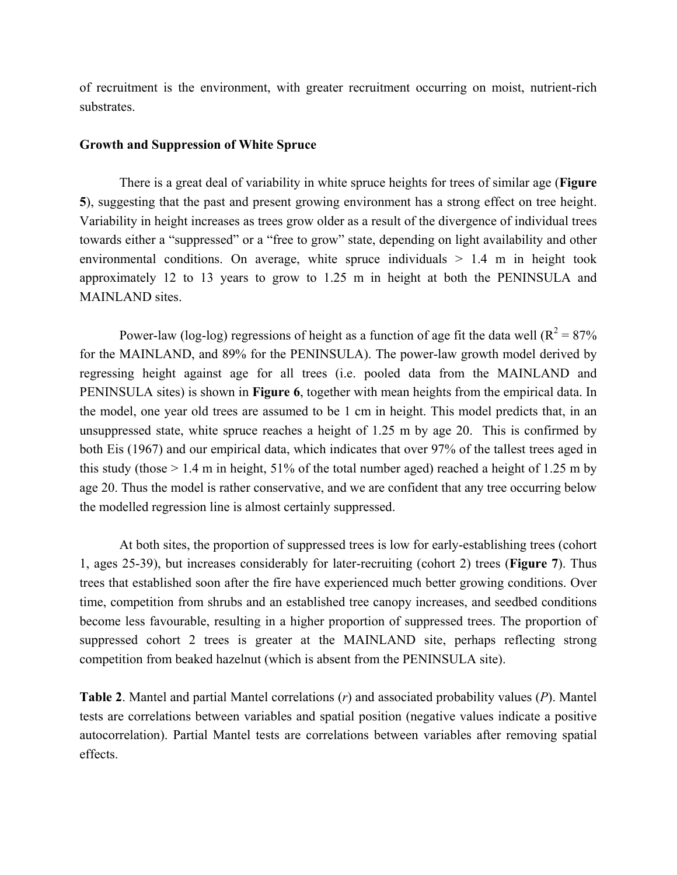of recruitment is the environment, with greater recruitment occurring on moist, nutrient-rich substrates.

#### **Growth and Suppression of White Spruce**

There is a great deal of variability in white spruce heights for trees of similar age (**Figure 5**), suggesting that the past and present growing environment has a strong effect on tree height. Variability in height increases as trees grow older as a result of the divergence of individual trees towards either a "suppressed" or a "free to grow" state, depending on light availability and other environmental conditions. On average, white spruce individuals  $> 1.4$  m in height took approximately 12 to 13 years to grow to 1.25 m in height at both the PENINSULA and MAINLAND sites.

Power-law (log-log) regressions of height as a function of age fit the data well ( $R^2 = 87\%$ ) for the MAINLAND, and 89% for the PENINSULA). The power-law growth model derived by regressing height against age for all trees (i.e. pooled data from the MAINLAND and PENINSULA sites) is shown in **Figure 6**, together with mean heights from the empirical data. In the model, one year old trees are assumed to be 1 cm in height. This model predicts that, in an unsuppressed state, white spruce reaches a height of 1.25 m by age 20. This is confirmed by both Eis (1967) and our empirical data, which indicates that over 97% of the tallest trees aged in this study (those  $> 1.4$  m in height, 51% of the total number aged) reached a height of 1.25 m by age 20. Thus the model is rather conservative, and we are confident that any tree occurring below the modelled regression line is almost certainly suppressed.

At both sites, the proportion of suppressed trees is low for early-establishing trees (cohort 1, ages 25-39), but increases considerably for later-recruiting (cohort 2) trees (**Figure 7**). Thus trees that established soon after the fire have experienced much better growing conditions. Over time, competition from shrubs and an established tree canopy increases, and seedbed conditions become less favourable, resulting in a higher proportion of suppressed trees. The proportion of suppressed cohort 2 trees is greater at the MAINLAND site, perhaps reflecting strong competition from beaked hazelnut (which is absent from the PENINSULA site).

**Table 2**. Mantel and partial Mantel correlations (*r*) and associated probability values (*P*). Mantel tests are correlations between variables and spatial position (negative values indicate a positive autocorrelation). Partial Mantel tests are correlations between variables after removing spatial effects.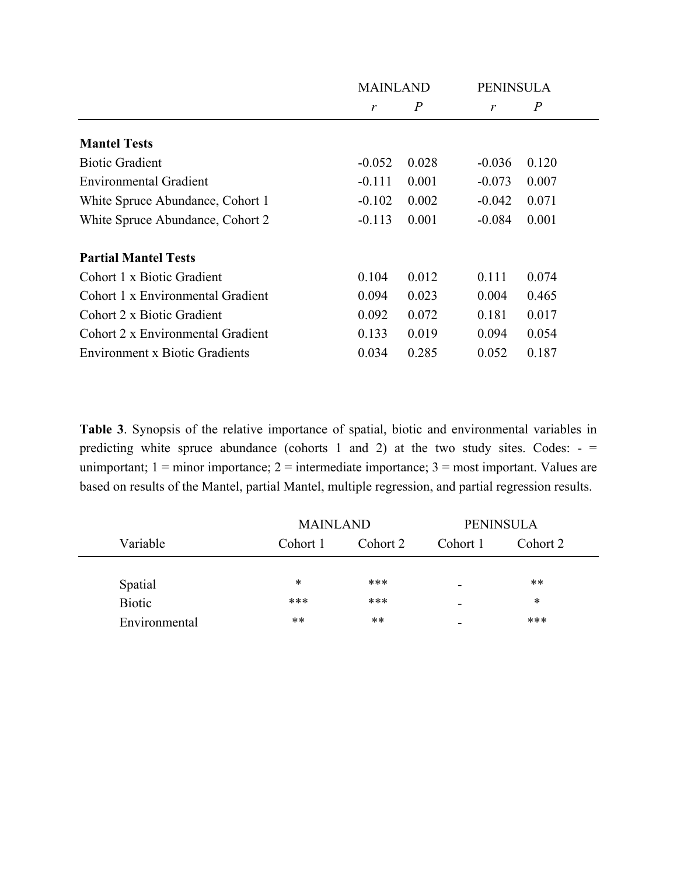|                                       | <b>MAINLAND</b> |                | <b>PENINSULA</b> |                |  |
|---------------------------------------|-----------------|----------------|------------------|----------------|--|
|                                       | r               | $\overline{P}$ | r                | $\overline{P}$ |  |
| <b>Mantel Tests</b>                   |                 |                |                  |                |  |
| <b>Biotic Gradient</b>                | $-0.052$        | 0.028          | $-0.036$         | 0.120          |  |
| <b>Environmental Gradient</b>         | $-0.111$        | 0.001          | $-0.073$         | 0.007          |  |
| White Spruce Abundance, Cohort 1      | $-0.102$        | 0.002          | $-0.042$         | 0.071          |  |
| White Spruce Abundance, Cohort 2      | $-0.113$        | 0.001          | $-0.084$         | 0.001          |  |
| <b>Partial Mantel Tests</b>           |                 |                |                  |                |  |
| Cohort 1 x Biotic Gradient            | 0.104           | 0.012          | 0.111            | 0.074          |  |
| Cohort 1 x Environmental Gradient     | 0.094           | 0.023          | 0.004            | 0.465          |  |
| Cohort 2 x Biotic Gradient            | 0.092           | 0.072          | 0.181            | 0.017          |  |
| Cohort 2 x Environmental Gradient     | 0.133           | 0.019          | 0.094            | 0.054          |  |
| <b>Environment x Biotic Gradients</b> | 0.034           | 0.285          | 0.052            | 0.187          |  |

**Table 3**. Synopsis of the relative importance of spatial, biotic and environmental variables in predicting white spruce abundance (cohorts 1 and 2) at the two study sites. Codes:  $-$  = unimportant;  $1 =$  minor importance;  $2 =$  intermediate importance;  $3 =$  most important. Values are based on results of the Mantel, partial Mantel, multiple regression, and partial regression results.

|               | <b>MAINLAND</b> |          | <b>PENINSULA</b>         |          |  |
|---------------|-----------------|----------|--------------------------|----------|--|
| Variable      | Cohort 1        | Cohort 2 | Cohort 1                 | Cohort 2 |  |
|               |                 |          |                          |          |  |
| Spatial       | $\ast$          | ***      | $\overline{\phantom{0}}$ | **       |  |
| <b>Biotic</b> | ***             | ***      | $\overline{\phantom{0}}$ | $\ast$   |  |
| Environmental | **              | **       | $\overline{\phantom{0}}$ | ***      |  |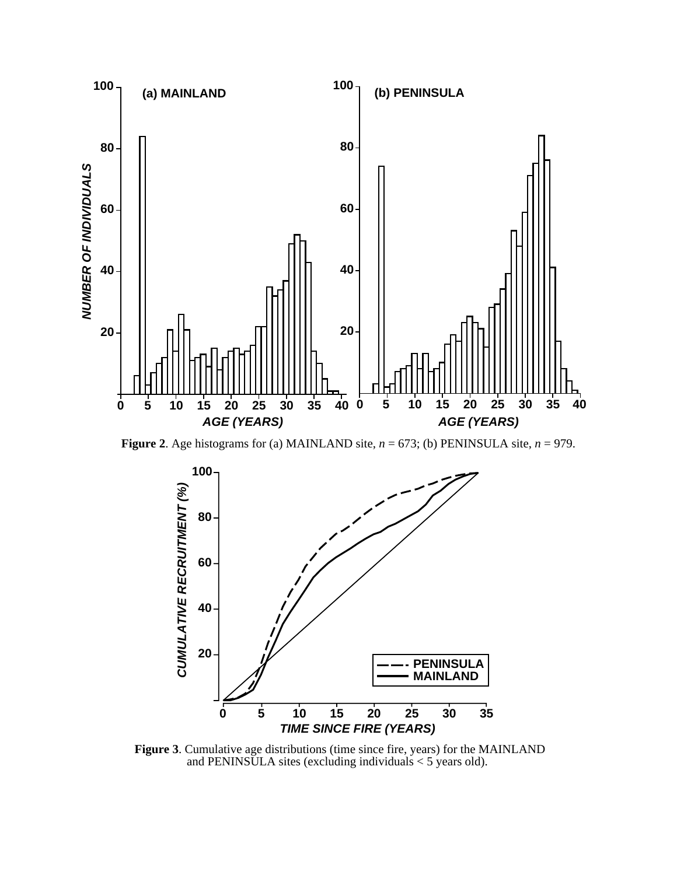

**Figure 2.** Age histograms for (a) MAINLAND site,  $n = 673$ ; (b) PENINSULA site,  $n = 979$ .



**Figure 3**. Cumulative age distributions (time since fire, years) for the MAINLAND and PENINSULA sites (excluding individuals  $<$  5 years old).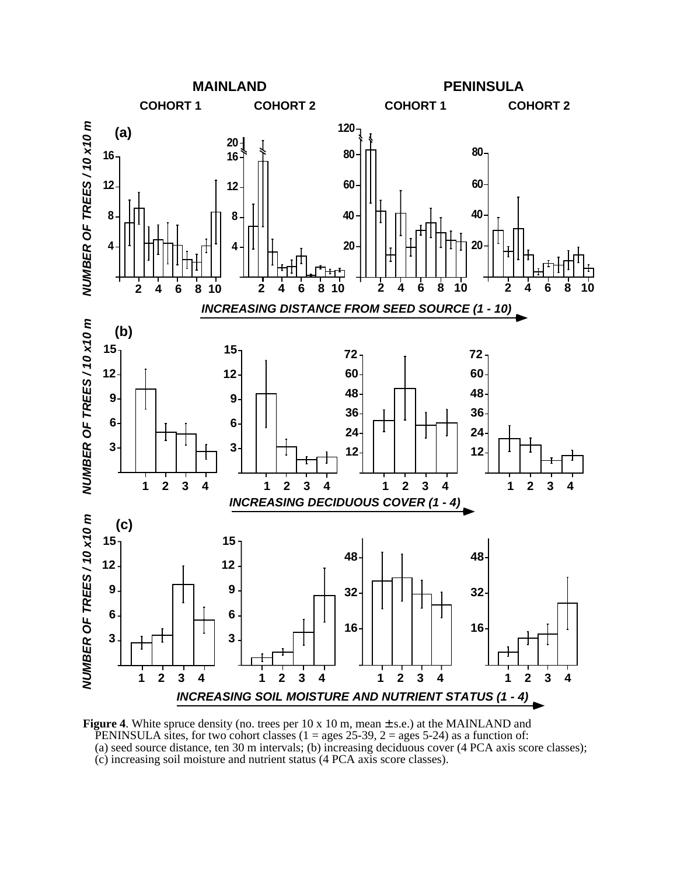

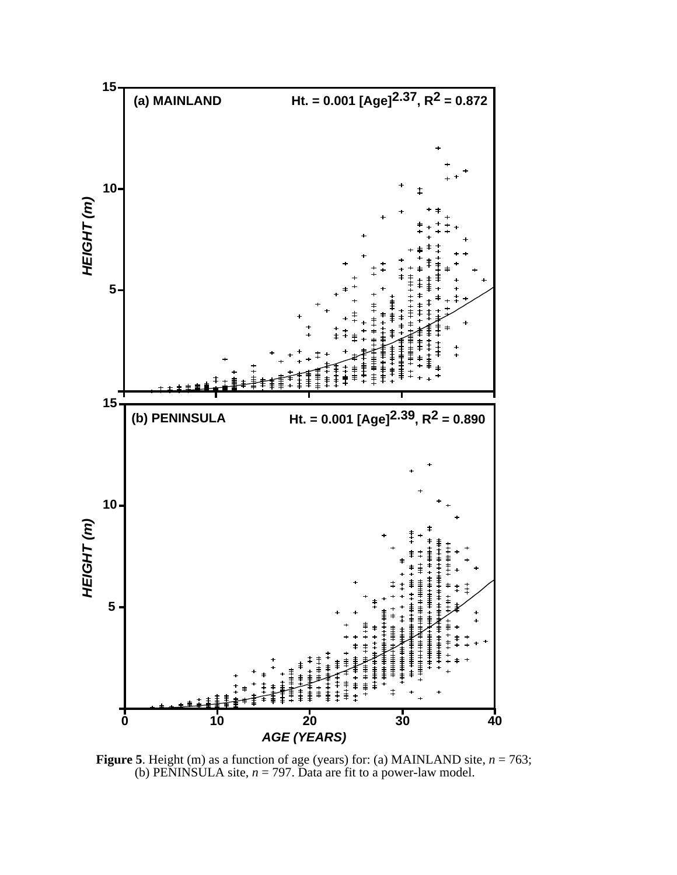

**Figure 5**. Height (m) as a function of age (years) for: (a) MAINLAND site,  $n = 763$ ; (b) PENINSULA site,  $n = 797$ . Data are fit to a power-law model.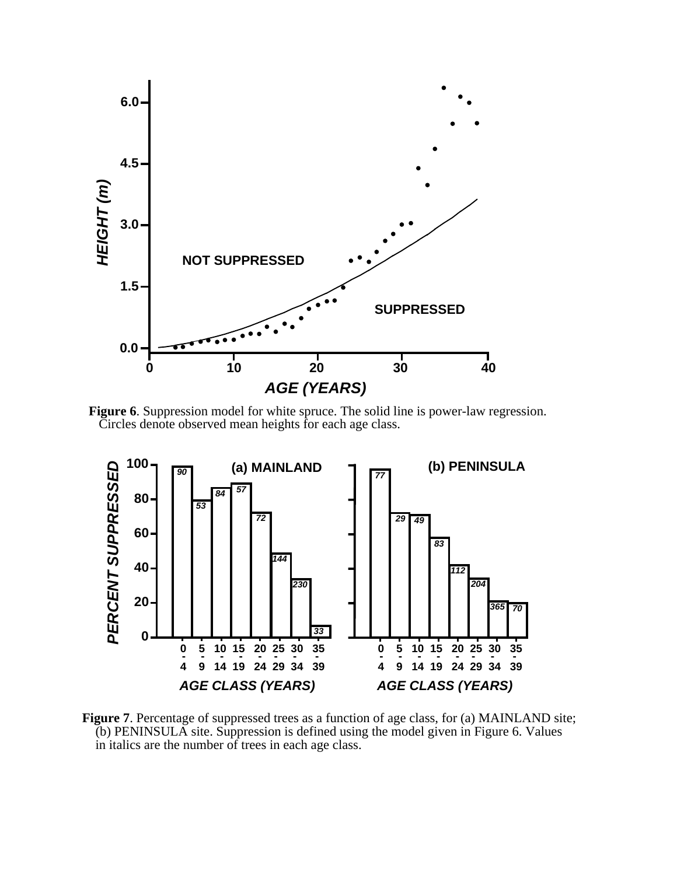

**Figure 6**. Suppression model for white spruce. The solid line is power-law regression. Circles denote observed mean heights for each age class.



**Figure 7**. Percentage of suppressed trees as a function of age class, for (a) MAINLAND site; (b) PENINSULA site. Suppression is defined using the model given in Figure 6. Values in italics are the number of trees in each age class.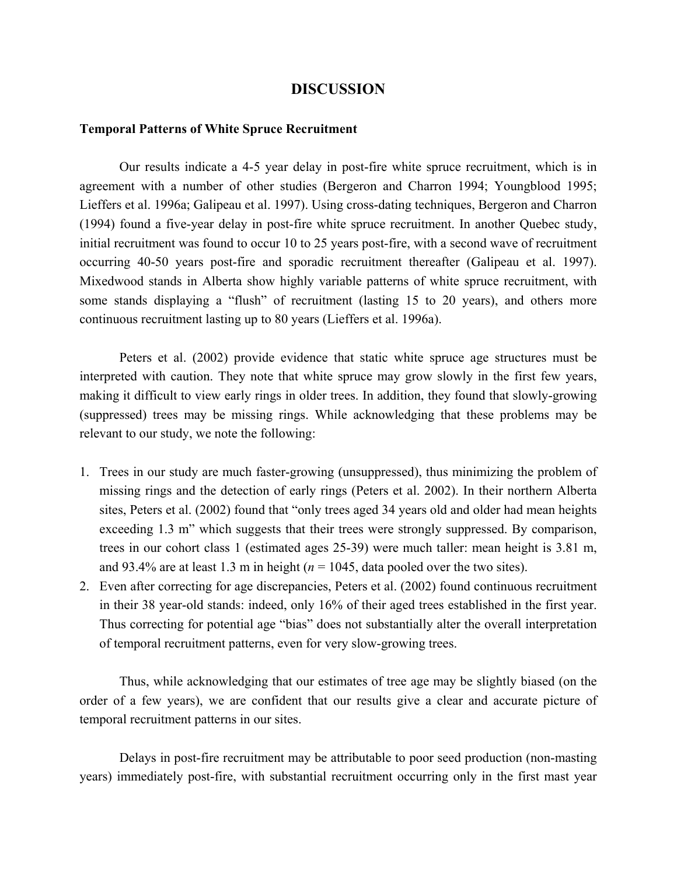#### **DISCUSSION**

#### **Temporal Patterns of White Spruce Recruitment**

Our results indicate a 4-5 year delay in post-fire white spruce recruitment, which is in agreement with a number of other studies (Bergeron and Charron 1994; Youngblood 1995; Lieffers et al. 1996a; Galipeau et al. 1997). Using cross-dating techniques, Bergeron and Charron (1994) found a five-year delay in post-fire white spruce recruitment. In another Quebec study, initial recruitment was found to occur 10 to 25 years post-fire, with a second wave of recruitment occurring 40-50 years post-fire and sporadic recruitment thereafter (Galipeau et al. 1997). Mixedwood stands in Alberta show highly variable patterns of white spruce recruitment, with some stands displaying a "flush" of recruitment (lasting 15 to 20 years), and others more continuous recruitment lasting up to 80 years (Lieffers et al. 1996a).

Peters et al. (2002) provide evidence that static white spruce age structures must be interpreted with caution. They note that white spruce may grow slowly in the first few years, making it difficult to view early rings in older trees. In addition, they found that slowly-growing (suppressed) trees may be missing rings. While acknowledging that these problems may be relevant to our study, we note the following:

- 1. Trees in our study are much faster-growing (unsuppressed), thus minimizing the problem of missing rings and the detection of early rings (Peters et al. 2002). In their northern Alberta sites, Peters et al. (2002) found that "only trees aged 34 years old and older had mean heights exceeding 1.3 m" which suggests that their trees were strongly suppressed. By comparison, trees in our cohort class 1 (estimated ages 25-39) were much taller: mean height is 3.81 m, and 93.4% are at least 1.3 m in height (*n* = 1045, data pooled over the two sites).
- 2. Even after correcting for age discrepancies, Peters et al. (2002) found continuous recruitment in their 38 year-old stands: indeed, only 16% of their aged trees established in the first year. Thus correcting for potential age "bias" does not substantially alter the overall interpretation of temporal recruitment patterns, even for very slow-growing trees.

Thus, while acknowledging that our estimates of tree age may be slightly biased (on the order of a few years), we are confident that our results give a clear and accurate picture of temporal recruitment patterns in our sites.

Delays in post-fire recruitment may be attributable to poor seed production (non-masting years) immediately post-fire, with substantial recruitment occurring only in the first mast year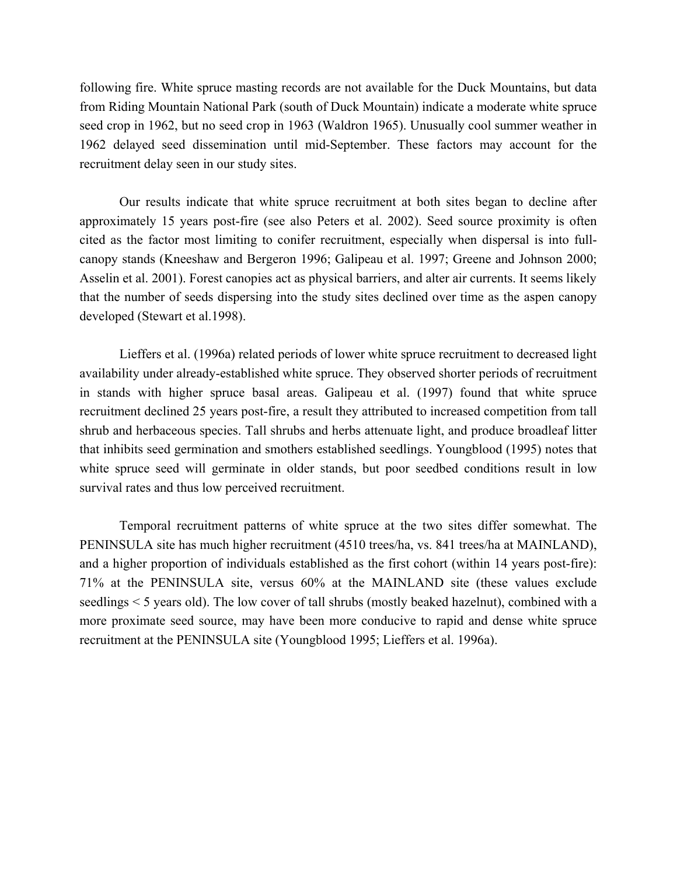following fire. White spruce masting records are not available for the Duck Mountains, but data from Riding Mountain National Park (south of Duck Mountain) indicate a moderate white spruce seed crop in 1962, but no seed crop in 1963 (Waldron 1965). Unusually cool summer weather in 1962 delayed seed dissemination until mid-September. These factors may account for the recruitment delay seen in our study sites.

Our results indicate that white spruce recruitment at both sites began to decline after approximately 15 years post-fire (see also Peters et al. 2002). Seed source proximity is often cited as the factor most limiting to conifer recruitment, especially when dispersal is into fullcanopy stands (Kneeshaw and Bergeron 1996; Galipeau et al. 1997; Greene and Johnson 2000; Asselin et al. 2001). Forest canopies act as physical barriers, and alter air currents. It seems likely that the number of seeds dispersing into the study sites declined over time as the aspen canopy developed (Stewart et al.1998).

Lieffers et al. (1996a) related periods of lower white spruce recruitment to decreased light availability under already-established white spruce. They observed shorter periods of recruitment in stands with higher spruce basal areas. Galipeau et al. (1997) found that white spruce recruitment declined 25 years post-fire, a result they attributed to increased competition from tall shrub and herbaceous species. Tall shrubs and herbs attenuate light, and produce broadleaf litter that inhibits seed germination and smothers established seedlings. Youngblood (1995) notes that white spruce seed will germinate in older stands, but poor seedbed conditions result in low survival rates and thus low perceived recruitment.

Temporal recruitment patterns of white spruce at the two sites differ somewhat. The PENINSULA site has much higher recruitment (4510 trees/ha, vs. 841 trees/ha at MAINLAND), and a higher proportion of individuals established as the first cohort (within 14 years post-fire): 71% at the PENINSULA site, versus 60% at the MAINLAND site (these values exclude seedlings < 5 years old). The low cover of tall shrubs (mostly beaked hazelnut), combined with a more proximate seed source, may have been more conducive to rapid and dense white spruce recruitment at the PENINSULA site (Youngblood 1995; Lieffers et al. 1996a).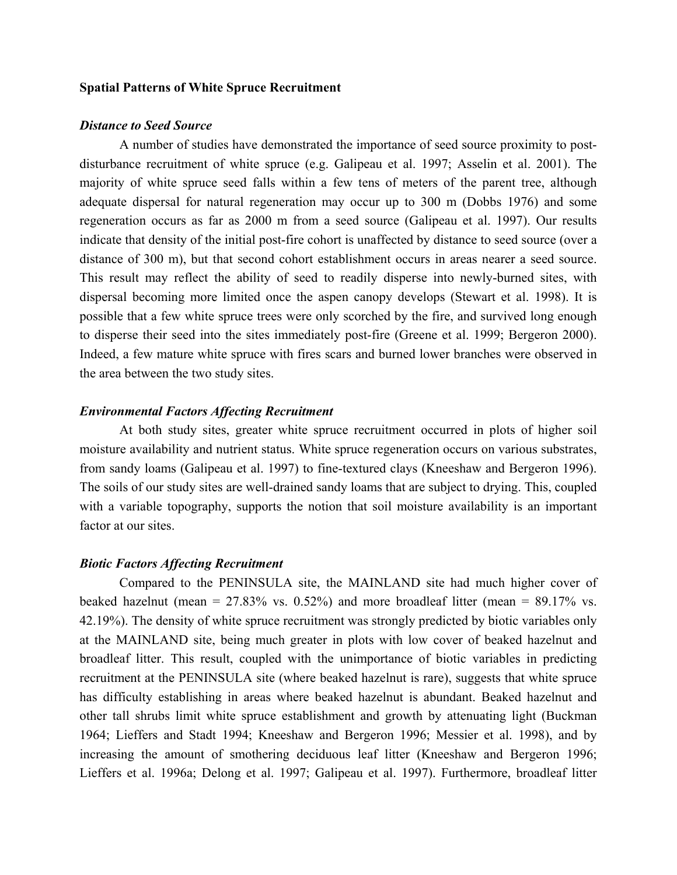#### **Spatial Patterns of White Spruce Recruitment**

#### *Distance to Seed Source*

A number of studies have demonstrated the importance of seed source proximity to postdisturbance recruitment of white spruce (e.g. Galipeau et al. 1997; Asselin et al. 2001). The majority of white spruce seed falls within a few tens of meters of the parent tree, although adequate dispersal for natural regeneration may occur up to 300 m (Dobbs 1976) and some regeneration occurs as far as 2000 m from a seed source (Galipeau et al. 1997). Our results indicate that density of the initial post-fire cohort is unaffected by distance to seed source (over a distance of 300 m), but that second cohort establishment occurs in areas nearer a seed source. This result may reflect the ability of seed to readily disperse into newly-burned sites, with dispersal becoming more limited once the aspen canopy develops (Stewart et al. 1998). It is possible that a few white spruce trees were only scorched by the fire, and survived long enough to disperse their seed into the sites immediately post-fire (Greene et al. 1999; Bergeron 2000). Indeed, a few mature white spruce with fires scars and burned lower branches were observed in the area between the two study sites.

#### *Environmental Factors Affecting Recruitment*

At both study sites, greater white spruce recruitment occurred in plots of higher soil moisture availability and nutrient status. White spruce regeneration occurs on various substrates, from sandy loams (Galipeau et al. 1997) to fine-textured clays (Kneeshaw and Bergeron 1996). The soils of our study sites are well-drained sandy loams that are subject to drying. This, coupled with a variable topography, supports the notion that soil moisture availability is an important factor at our sites.

#### *Biotic Factors Affecting Recruitment*

Compared to the PENINSULA site, the MAINLAND site had much higher cover of beaked hazelnut (mean =  $27.83\%$  vs. 0.52%) and more broadleaf litter (mean =  $89.17\%$  vs. 42.19%). The density of white spruce recruitment was strongly predicted by biotic variables only at the MAINLAND site, being much greater in plots with low cover of beaked hazelnut and broadleaf litter. This result, coupled with the unimportance of biotic variables in predicting recruitment at the PENINSULA site (where beaked hazelnut is rare), suggests that white spruce has difficulty establishing in areas where beaked hazelnut is abundant. Beaked hazelnut and other tall shrubs limit white spruce establishment and growth by attenuating light (Buckman 1964; Lieffers and Stadt 1994; Kneeshaw and Bergeron 1996; Messier et al. 1998), and by increasing the amount of smothering deciduous leaf litter (Kneeshaw and Bergeron 1996; Lieffers et al. 1996a; Delong et al. 1997; Galipeau et al. 1997). Furthermore, broadleaf litter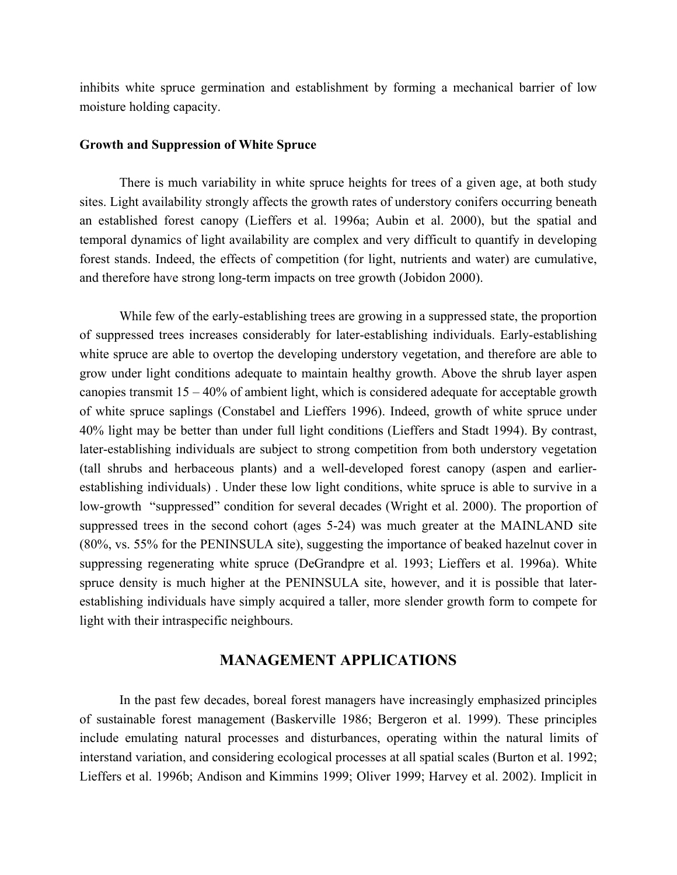inhibits white spruce germination and establishment by forming a mechanical barrier of low moisture holding capacity.

#### **Growth and Suppression of White Spruce**

There is much variability in white spruce heights for trees of a given age, at both study sites. Light availability strongly affects the growth rates of understory conifers occurring beneath an established forest canopy (Lieffers et al. 1996a; Aubin et al. 2000), but the spatial and temporal dynamics of light availability are complex and very difficult to quantify in developing forest stands. Indeed, the effects of competition (for light, nutrients and water) are cumulative, and therefore have strong long-term impacts on tree growth (Jobidon 2000).

While few of the early-establishing trees are growing in a suppressed state, the proportion of suppressed trees increases considerably for later-establishing individuals. Early-establishing white spruce are able to overtop the developing understory vegetation, and therefore are able to grow under light conditions adequate to maintain healthy growth. Above the shrub layer aspen canopies transmit 15 – 40% of ambient light, which is considered adequate for acceptable growth of white spruce saplings (Constabel and Lieffers 1996). Indeed, growth of white spruce under 40% light may be better than under full light conditions (Lieffers and Stadt 1994). By contrast, later-establishing individuals are subject to strong competition from both understory vegetation (tall shrubs and herbaceous plants) and a well-developed forest canopy (aspen and earlierestablishing individuals) . Under these low light conditions, white spruce is able to survive in a low-growth "suppressed" condition for several decades (Wright et al. 2000). The proportion of suppressed trees in the second cohort (ages 5-24) was much greater at the MAINLAND site (80%, vs. 55% for the PENINSULA site), suggesting the importance of beaked hazelnut cover in suppressing regenerating white spruce (DeGrandpre et al. 1993; Lieffers et al. 1996a). White spruce density is much higher at the PENINSULA site, however, and it is possible that laterestablishing individuals have simply acquired a taller, more slender growth form to compete for light with their intraspecific neighbours.

#### **MANAGEMENT APPLICATIONS**

In the past few decades, boreal forest managers have increasingly emphasized principles of sustainable forest management (Baskerville 1986; Bergeron et al. 1999). These principles include emulating natural processes and disturbances, operating within the natural limits of interstand variation, and considering ecological processes at all spatial scales (Burton et al. 1992; Lieffers et al. 1996b; Andison and Kimmins 1999; Oliver 1999; Harvey et al. 2002). Implicit in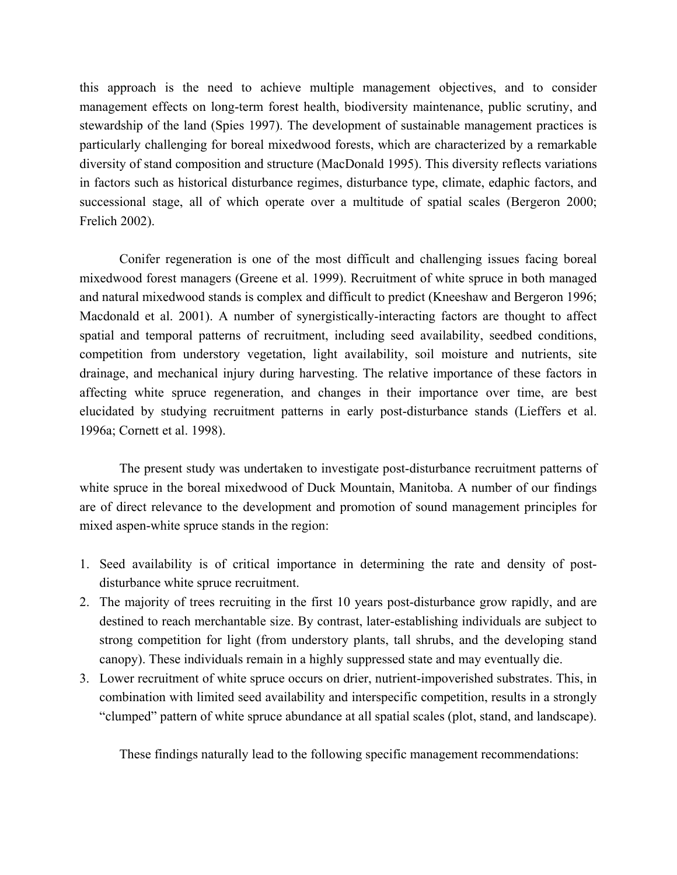this approach is the need to achieve multiple management objectives, and to consider management effects on long-term forest health, biodiversity maintenance, public scrutiny, and stewardship of the land (Spies 1997). The development of sustainable management practices is particularly challenging for boreal mixedwood forests, which are characterized by a remarkable diversity of stand composition and structure (MacDonald 1995). This diversity reflects variations in factors such as historical disturbance regimes, disturbance type, climate, edaphic factors, and successional stage, all of which operate over a multitude of spatial scales (Bergeron 2000; Frelich 2002).

Conifer regeneration is one of the most difficult and challenging issues facing boreal mixedwood forest managers (Greene et al. 1999). Recruitment of white spruce in both managed and natural mixedwood stands is complex and difficult to predict (Kneeshaw and Bergeron 1996; Macdonald et al. 2001). A number of synergistically-interacting factors are thought to affect spatial and temporal patterns of recruitment, including seed availability, seedbed conditions, competition from understory vegetation, light availability, soil moisture and nutrients, site drainage, and mechanical injury during harvesting. The relative importance of these factors in affecting white spruce regeneration, and changes in their importance over time, are best elucidated by studying recruitment patterns in early post-disturbance stands (Lieffers et al. 1996a; Cornett et al. 1998).

The present study was undertaken to investigate post-disturbance recruitment patterns of white spruce in the boreal mixedwood of Duck Mountain, Manitoba. A number of our findings are of direct relevance to the development and promotion of sound management principles for mixed aspen-white spruce stands in the region:

- 1. Seed availability is of critical importance in determining the rate and density of postdisturbance white spruce recruitment.
- 2. The majority of trees recruiting in the first 10 years post-disturbance grow rapidly, and are destined to reach merchantable size. By contrast, later-establishing individuals are subject to strong competition for light (from understory plants, tall shrubs, and the developing stand canopy). These individuals remain in a highly suppressed state and may eventually die.
- 3. Lower recruitment of white spruce occurs on drier, nutrient-impoverished substrates. This, in combination with limited seed availability and interspecific competition, results in a strongly "clumped" pattern of white spruce abundance at all spatial scales (plot, stand, and landscape).

These findings naturally lead to the following specific management recommendations: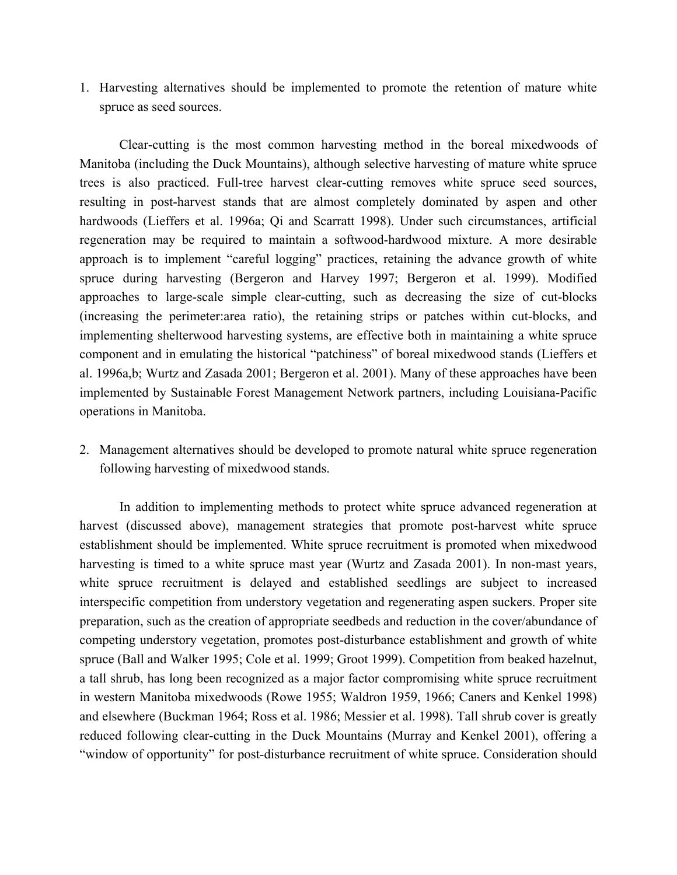1. Harvesting alternatives should be implemented to promote the retention of mature white spruce as seed sources.

Clear-cutting is the most common harvesting method in the boreal mixedwoods of Manitoba (including the Duck Mountains), although selective harvesting of mature white spruce trees is also practiced. Full-tree harvest clear-cutting removes white spruce seed sources, resulting in post-harvest stands that are almost completely dominated by aspen and other hardwoods (Lieffers et al. 1996a; Qi and Scarratt 1998). Under such circumstances, artificial regeneration may be required to maintain a softwood-hardwood mixture. A more desirable approach is to implement "careful logging" practices, retaining the advance growth of white spruce during harvesting (Bergeron and Harvey 1997; Bergeron et al. 1999). Modified approaches to large-scale simple clear-cutting, such as decreasing the size of cut-blocks (increasing the perimeter:area ratio), the retaining strips or patches within cut-blocks, and implementing shelterwood harvesting systems, are effective both in maintaining a white spruce component and in emulating the historical "patchiness" of boreal mixedwood stands (Lieffers et al. 1996a,b; Wurtz and Zasada 2001; Bergeron et al. 2001). Many of these approaches have been implemented by Sustainable Forest Management Network partners, including Louisiana-Pacific operations in Manitoba.

2. Management alternatives should be developed to promote natural white spruce regeneration following harvesting of mixedwood stands.

In addition to implementing methods to protect white spruce advanced regeneration at harvest (discussed above), management strategies that promote post-harvest white spruce establishment should be implemented. White spruce recruitment is promoted when mixedwood harvesting is timed to a white spruce mast year (Wurtz and Zasada 2001). In non-mast years, white spruce recruitment is delayed and established seedlings are subject to increased interspecific competition from understory vegetation and regenerating aspen suckers. Proper site preparation, such as the creation of appropriate seedbeds and reduction in the cover/abundance of competing understory vegetation, promotes post-disturbance establishment and growth of white spruce (Ball and Walker 1995; Cole et al. 1999; Groot 1999). Competition from beaked hazelnut, a tall shrub, has long been recognized as a major factor compromising white spruce recruitment in western Manitoba mixedwoods (Rowe 1955; Waldron 1959, 1966; Caners and Kenkel 1998) and elsewhere (Buckman 1964; Ross et al. 1986; Messier et al. 1998). Tall shrub cover is greatly reduced following clear-cutting in the Duck Mountains (Murray and Kenkel 2001), offering a "window of opportunity" for post-disturbance recruitment of white spruce. Consideration should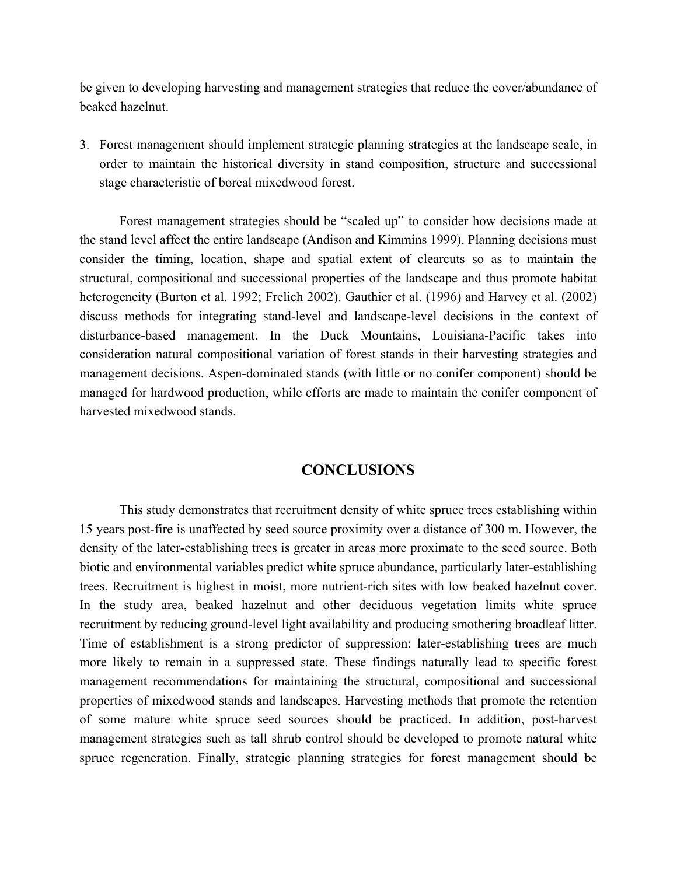be given to developing harvesting and management strategies that reduce the cover/abundance of beaked hazelnut.

3. Forest management should implement strategic planning strategies at the landscape scale, in order to maintain the historical diversity in stand composition, structure and successional stage characteristic of boreal mixedwood forest.

Forest management strategies should be "scaled up" to consider how decisions made at the stand level affect the entire landscape (Andison and Kimmins 1999). Planning decisions must consider the timing, location, shape and spatial extent of clearcuts so as to maintain the structural, compositional and successional properties of the landscape and thus promote habitat heterogeneity (Burton et al. 1992; Frelich 2002). Gauthier et al. (1996) and Harvey et al. (2002) discuss methods for integrating stand-level and landscape-level decisions in the context of disturbance-based management. In the Duck Mountains, Louisiana-Pacific takes into consideration natural compositional variation of forest stands in their harvesting strategies and management decisions. Aspen-dominated stands (with little or no conifer component) should be managed for hardwood production, while efforts are made to maintain the conifer component of harvested mixedwood stands.

#### **CONCLUSIONS**

This study demonstrates that recruitment density of white spruce trees establishing within 15 years post-fire is unaffected by seed source proximity over a distance of 300 m. However, the density of the later-establishing trees is greater in areas more proximate to the seed source. Both biotic and environmental variables predict white spruce abundance, particularly later-establishing trees. Recruitment is highest in moist, more nutrient-rich sites with low beaked hazelnut cover. In the study area, beaked hazelnut and other deciduous vegetation limits white spruce recruitment by reducing ground-level light availability and producing smothering broadleaf litter. Time of establishment is a strong predictor of suppression: later-establishing trees are much more likely to remain in a suppressed state. These findings naturally lead to specific forest management recommendations for maintaining the structural, compositional and successional properties of mixedwood stands and landscapes. Harvesting methods that promote the retention of some mature white spruce seed sources should be practiced. In addition, post-harvest management strategies such as tall shrub control should be developed to promote natural white spruce regeneration. Finally, strategic planning strategies for forest management should be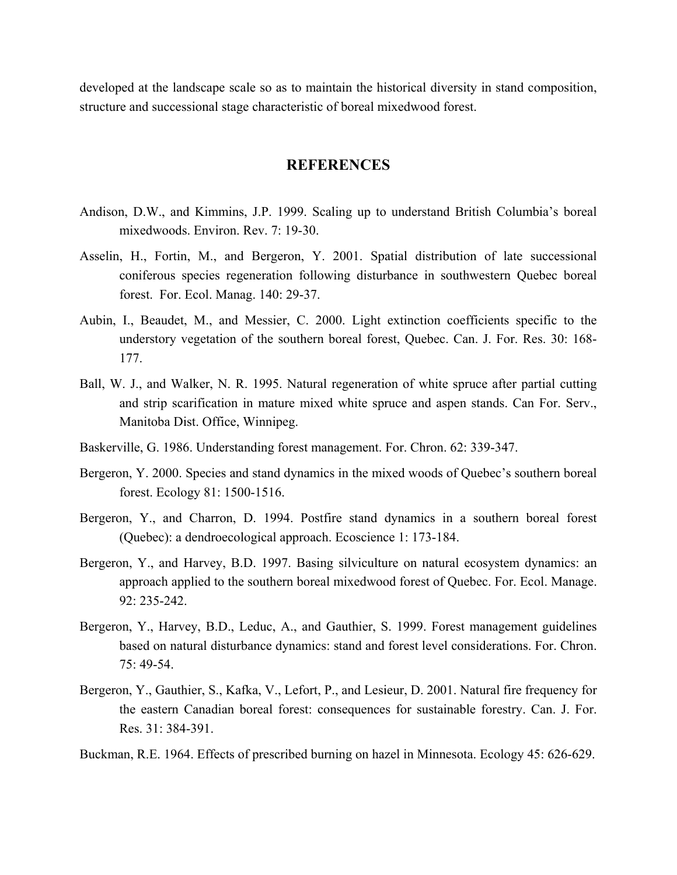developed at the landscape scale so as to maintain the historical diversity in stand composition, structure and successional stage characteristic of boreal mixedwood forest.

#### **REFERENCES**

- Andison, D.W., and Kimmins, J.P. 1999. Scaling up to understand British Columbia's boreal mixedwoods. Environ. Rev. 7: 19-30.
- Asselin, H., Fortin, M., and Bergeron, Y. 2001. Spatial distribution of late successional coniferous species regeneration following disturbance in southwestern Quebec boreal forest. For. Ecol. Manag. 140: 29-37.
- Aubin, I., Beaudet, M., and Messier, C. 2000. Light extinction coefficients specific to the understory vegetation of the southern boreal forest, Quebec. Can. J. For. Res. 30: 168- 177.
- Ball, W. J., and Walker, N. R. 1995. Natural regeneration of white spruce after partial cutting and strip scarification in mature mixed white spruce and aspen stands. Can For. Serv., Manitoba Dist. Office, Winnipeg.
- Baskerville, G. 1986. Understanding forest management. For. Chron. 62: 339-347.
- Bergeron, Y. 2000. Species and stand dynamics in the mixed woods of Quebec's southern boreal forest. Ecology 81: 1500-1516.
- Bergeron, Y., and Charron, D. 1994. Postfire stand dynamics in a southern boreal forest (Quebec): a dendroecological approach. Ecoscience 1: 173-184.
- Bergeron, Y., and Harvey, B.D. 1997. Basing silviculture on natural ecosystem dynamics: an approach applied to the southern boreal mixedwood forest of Quebec. For. Ecol. Manage. 92: 235-242.
- Bergeron, Y., Harvey, B.D., Leduc, A., and Gauthier, S. 1999. Forest management guidelines based on natural disturbance dynamics: stand and forest level considerations. For. Chron. 75: 49-54.
- Bergeron, Y., Gauthier, S., Kafka, V., Lefort, P., and Lesieur, D. 2001. Natural fire frequency for the eastern Canadian boreal forest: consequences for sustainable forestry. Can. J. For. Res. 31: 384-391.
- Buckman, R.E. 1964. Effects of prescribed burning on hazel in Minnesota. Ecology 45: 626-629.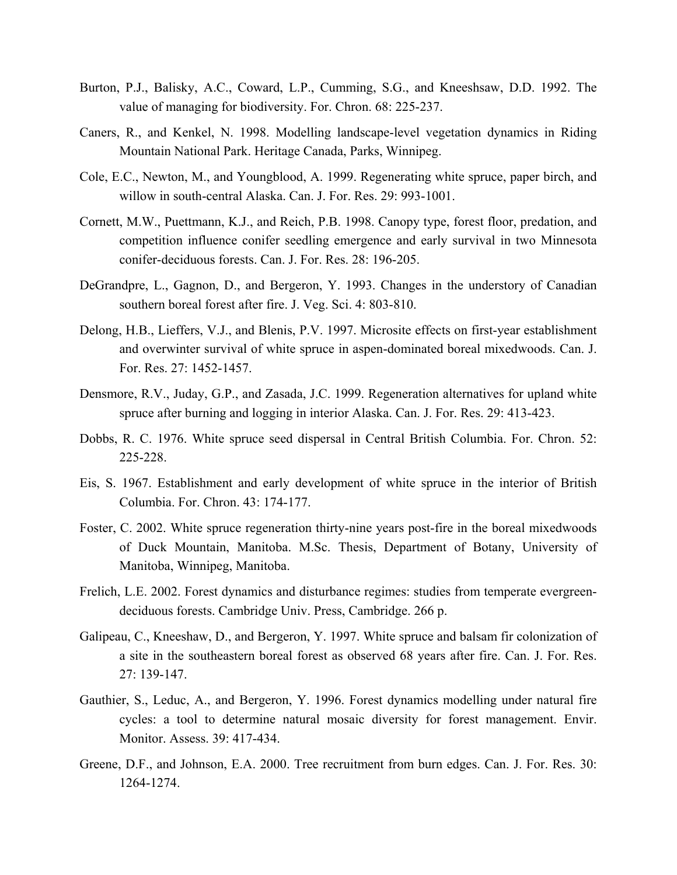- Burton, P.J., Balisky, A.C., Coward, L.P., Cumming, S.G., and Kneeshsaw, D.D. 1992. The value of managing for biodiversity. For. Chron. 68: 225-237.
- Caners, R., and Kenkel, N. 1998. Modelling landscape-level vegetation dynamics in Riding Mountain National Park. Heritage Canada, Parks, Winnipeg.
- Cole, E.C., Newton, M., and Youngblood, A. 1999. Regenerating white spruce, paper birch, and willow in south-central Alaska. Can. J. For. Res. 29: 993-1001.
- Cornett, M.W., Puettmann, K.J., and Reich, P.B. 1998. Canopy type, forest floor, predation, and competition influence conifer seedling emergence and early survival in two Minnesota conifer-deciduous forests. Can. J. For. Res. 28: 196-205.
- DeGrandpre, L., Gagnon, D., and Bergeron, Y. 1993. Changes in the understory of Canadian southern boreal forest after fire. J. Veg. Sci. 4: 803-810.
- Delong, H.B., Lieffers, V.J., and Blenis, P.V. 1997. Microsite effects on first-year establishment and overwinter survival of white spruce in aspen-dominated boreal mixedwoods. Can. J. For. Res. 27: 1452-1457.
- Densmore, R.V., Juday, G.P., and Zasada, J.C. 1999. Regeneration alternatives for upland white spruce after burning and logging in interior Alaska. Can. J. For. Res. 29: 413-423.
- Dobbs, R. C. 1976. White spruce seed dispersal in Central British Columbia. For. Chron. 52: 225-228.
- Eis, S. 1967. Establishment and early development of white spruce in the interior of British Columbia. For. Chron. 43: 174-177.
- Foster, C. 2002. White spruce regeneration thirty-nine years post-fire in the boreal mixedwoods of Duck Mountain, Manitoba. M.Sc. Thesis, Department of Botany, University of Manitoba, Winnipeg, Manitoba.
- Frelich, L.E. 2002. Forest dynamics and disturbance regimes: studies from temperate evergreendeciduous forests. Cambridge Univ. Press, Cambridge. 266 p.
- Galipeau, C., Kneeshaw, D., and Bergeron, Y. 1997. White spruce and balsam fir colonization of a site in the southeastern boreal forest as observed 68 years after fire. Can. J. For. Res. 27: 139-147.
- Gauthier, S., Leduc, A., and Bergeron, Y. 1996. Forest dynamics modelling under natural fire cycles: a tool to determine natural mosaic diversity for forest management. Envir. Monitor. Assess. 39: 417-434.
- Greene, D.F., and Johnson, E.A. 2000. Tree recruitment from burn edges. Can. J. For. Res. 30: 1264-1274.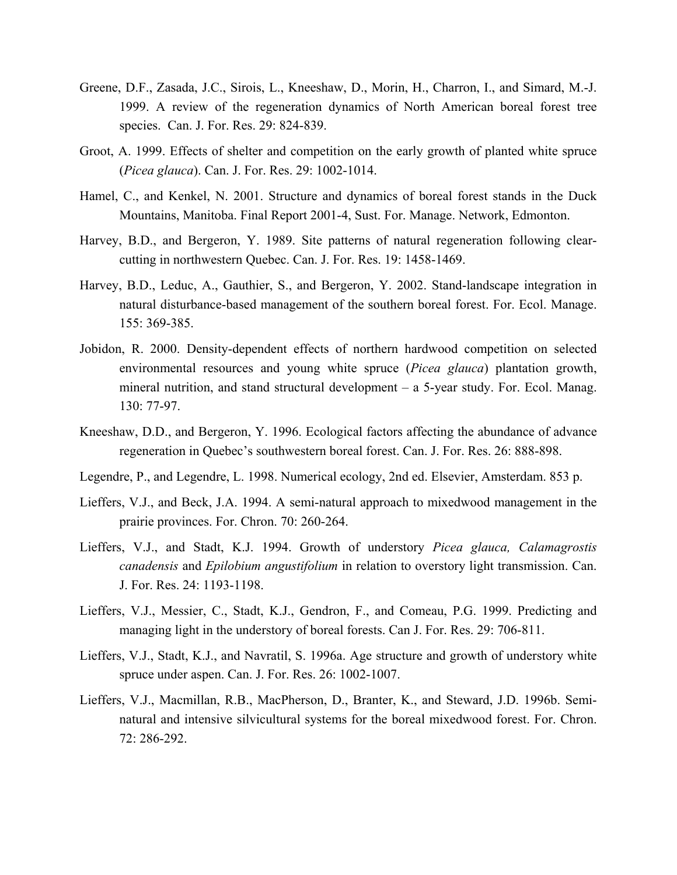- Greene, D.F., Zasada, J.C., Sirois, L., Kneeshaw, D., Morin, H., Charron, I., and Simard, M.-J. 1999. A review of the regeneration dynamics of North American boreal forest tree species. Can. J. For. Res. 29: 824-839.
- Groot, A. 1999. Effects of shelter and competition on the early growth of planted white spruce (*Picea glauca*). Can. J. For. Res. 29: 1002-1014.
- Hamel, C., and Kenkel, N. 2001. Structure and dynamics of boreal forest stands in the Duck Mountains, Manitoba. Final Report 2001-4, Sust. For. Manage. Network, Edmonton.
- Harvey, B.D., and Bergeron, Y. 1989. Site patterns of natural regeneration following clearcutting in northwestern Quebec. Can. J. For. Res. 19: 1458-1469.
- Harvey, B.D., Leduc, A., Gauthier, S., and Bergeron, Y. 2002. Stand-landscape integration in natural disturbance-based management of the southern boreal forest. For. Ecol. Manage. 155: 369-385.
- Jobidon, R. 2000. Density-dependent effects of northern hardwood competition on selected environmental resources and young white spruce (*Picea glauca*) plantation growth, mineral nutrition, and stand structural development – a 5-year study. For. Ecol. Manag. 130: 77-97.
- Kneeshaw, D.D., and Bergeron, Y. 1996. Ecological factors affecting the abundance of advance regeneration in Quebec's southwestern boreal forest. Can. J. For. Res. 26: 888-898.
- Legendre, P., and Legendre, L. 1998. Numerical ecology, 2nd ed. Elsevier, Amsterdam. 853 p.
- Lieffers, V.J., and Beck, J.A. 1994. A semi-natural approach to mixedwood management in the prairie provinces. For. Chron. 70: 260-264.
- Lieffers, V.J., and Stadt, K.J. 1994. Growth of understory *Picea glauca, Calamagrostis canadensis* and *Epilobium angustifolium* in relation to overstory light transmission. Can. J. For. Res. 24: 1193-1198.
- Lieffers, V.J., Messier, C., Stadt, K.J., Gendron, F., and Comeau, P.G. 1999. Predicting and managing light in the understory of boreal forests. Can J. For. Res. 29: 706-811.
- Lieffers, V.J., Stadt, K.J., and Navratil, S. 1996a. Age structure and growth of understory white spruce under aspen. Can. J. For. Res. 26: 1002-1007.
- Lieffers, V.J., Macmillan, R.B., MacPherson, D., Branter, K., and Steward, J.D. 1996b. Seminatural and intensive silvicultural systems for the boreal mixedwood forest. For. Chron. 72: 286-292.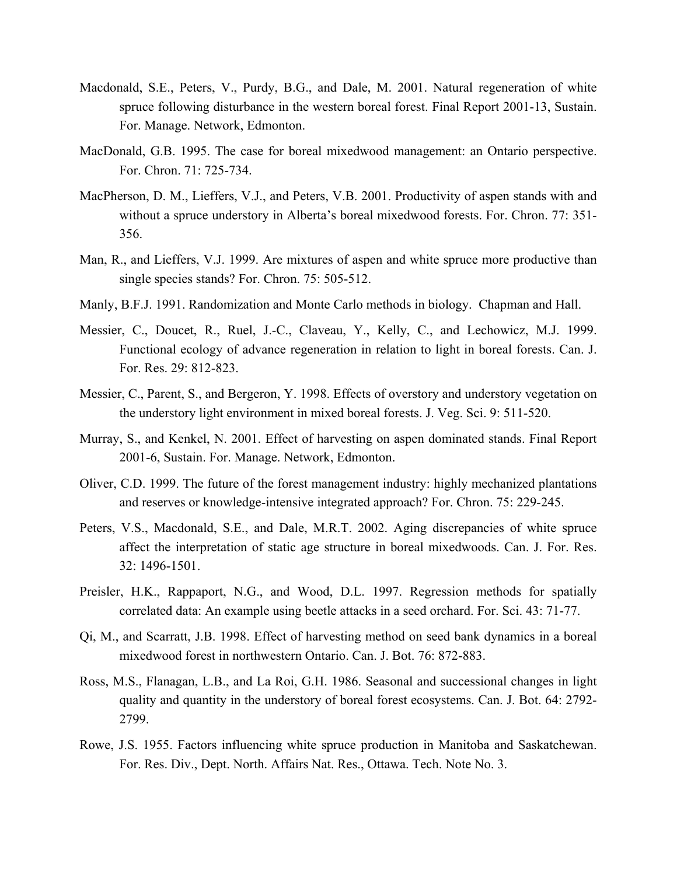- Macdonald, S.E., Peters, V., Purdy, B.G., and Dale, M. 2001. Natural regeneration of white spruce following disturbance in the western boreal forest. Final Report 2001-13, Sustain. For. Manage. Network, Edmonton.
- MacDonald, G.B. 1995. The case for boreal mixedwood management: an Ontario perspective. For. Chron. 71: 725-734.
- MacPherson, D. M., Lieffers, V.J., and Peters, V.B. 2001. Productivity of aspen stands with and without a spruce understory in Alberta's boreal mixedwood forests. For. Chron. 77: 351- 356.
- Man, R., and Lieffers, V.J. 1999. Are mixtures of aspen and white spruce more productive than single species stands? For. Chron. 75: 505-512.
- Manly, B.F.J. 1991. Randomization and Monte Carlo methods in biology. Chapman and Hall.
- Messier, C., Doucet, R., Ruel, J.-C., Claveau, Y., Kelly, C., and Lechowicz, M.J. 1999. Functional ecology of advance regeneration in relation to light in boreal forests. Can. J. For. Res. 29: 812-823.
- Messier, C., Parent, S., and Bergeron, Y. 1998. Effects of overstory and understory vegetation on the understory light environment in mixed boreal forests. J. Veg. Sci. 9: 511-520.
- Murray, S., and Kenkel, N. 2001. Effect of harvesting on aspen dominated stands. Final Report 2001-6, Sustain. For. Manage. Network, Edmonton.
- Oliver, C.D. 1999. The future of the forest management industry: highly mechanized plantations and reserves or knowledge-intensive integrated approach? For. Chron. 75: 229-245.
- Peters, V.S., Macdonald, S.E., and Dale, M.R.T. 2002. Aging discrepancies of white spruce affect the interpretation of static age structure in boreal mixedwoods. Can. J. For. Res. 32: 1496-1501.
- Preisler, H.K., Rappaport, N.G., and Wood, D.L. 1997. Regression methods for spatially correlated data: An example using beetle attacks in a seed orchard. For. Sci. 43: 71-77.
- Qi, M., and Scarratt, J.B. 1998. Effect of harvesting method on seed bank dynamics in a boreal mixedwood forest in northwestern Ontario. Can. J. Bot. 76: 872-883.
- Ross, M.S., Flanagan, L.B., and La Roi, G.H. 1986. Seasonal and successional changes in light quality and quantity in the understory of boreal forest ecosystems. Can. J. Bot. 64: 2792- 2799.
- Rowe, J.S. 1955. Factors influencing white spruce production in Manitoba and Saskatchewan. For. Res. Div., Dept. North. Affairs Nat. Res., Ottawa. Tech. Note No. 3.